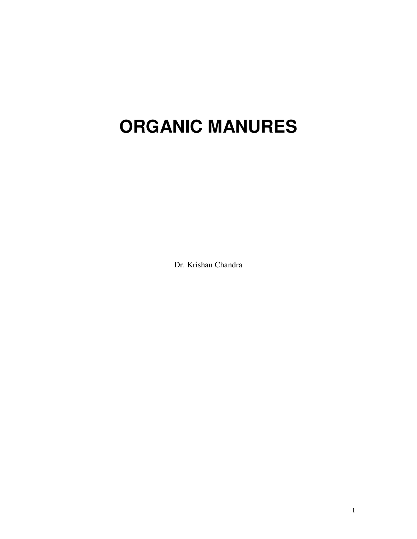# **ORGANIC MANURES**

Dr. Krishan Chandra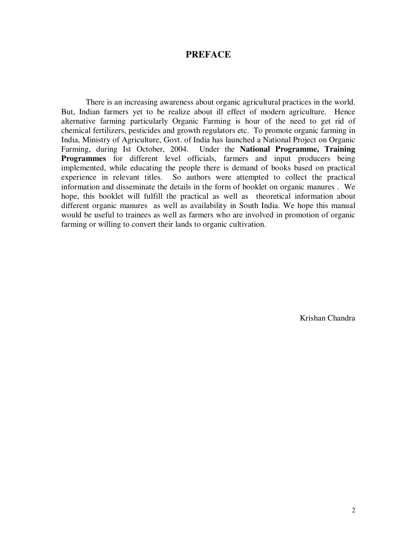#### **PREFACE**

There is an increasing awareness about organic agricultural practices in the world. But, Indian farmers yet to be realize about ill effect of modern agriculture. Hence alternative farming particularly Organic Farming is hour of the need to get rid of chemical fertilizers, pesticides and growth regulators etc. To promote organic farming in India, Ministry of Agriculture, Govt. of India has launched a National Project on Organic Farming, during Ist October, 2004. Under the **National Programme, Training Programmes** for different level officials, farmers and input producers being implemented, while educating the people there is demand of books based on practical experience in relevant titles. So authors were attempted to collect the practical information and disseminate the details in the form of booklet on organic manures . We hope, this booklet will fulfill the practical as well as theoretical information about different organic manures as well as availability in South India. We hope this manual would be useful to trainees as well as farmers who are involved in promotion of organic farming or willing to convert their lands to organic cultivation.

Krishan Chandra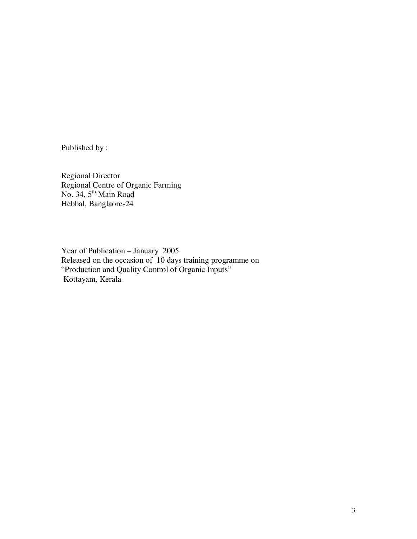Published by :

Regional Director Regional Centre of Organic Farming No. 34, 5<sup>th</sup> Main Road Hebbal, Banglaore-24

Year of Publication – January 2005 Released on the occasion of 10 days training programme on "Production and Quality Control of Organic Inputs" Kottayam, Kerala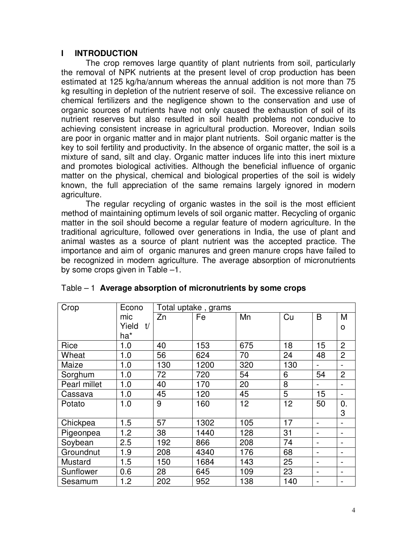#### **I INTRODUCTION**

The crop removes large quantity of plant nutrients from soil, particularly the removal of NPK nutrients at the present level of crop production has been estimated at 125 kg/ha/annum whereas the annual addition is not more than 75 kg resulting in depletion of the nutrient reserve of soil. The excessive reliance on chemical fertilizers and the negligence shown to the conservation and use of organic sources of nutrients have not only caused the exhaustion of soil of its nutrient reserves but also resulted in soil health problems not conducive to achieving consistent increase in agricultural production. Moreover, Indian soils are poor in organic matter and in major plant nutrients. Soil organic matter is the key to soil fertility and productivity. In the absence of organic matter, the soil is a mixture of sand, silt and clay. Organic matter induces life into this inert mixture and promotes biological activities. Although the beneficial influence of organic matter on the physical, chemical and biological properties of the soil is widely known, the full appreciation of the same remains largely ignored in modern agriculture.

The regular recycling of organic wastes in the soil is the most efficient method of maintaining optimum levels of soil organic matter. Recycling of organic matter in the soil should become a regular feature of modern agriculture. In the traditional agriculture, followed over generations in India, the use of plant and animal wastes as a source of plant nutrient was the accepted practice. The importance and aim of organic manures and green manure crops have failed to be recognized in modern agriculture. The average absorption of micronutrients by some crops given in Table –1.

| Crop         | Econo       | Total uptake, grams |      |     |     |                              |                          |
|--------------|-------------|---------------------|------|-----|-----|------------------------------|--------------------------|
|              | mic         | Zn                  | Fe   | Mn  | Cu  | B                            | M                        |
|              | Yield<br>t/ |                     |      |     |     |                              | O                        |
|              | ha*         |                     |      |     |     |                              |                          |
| Rice         | 1.0         | 40                  | 153  | 675 | 18  | 15                           | $\overline{2}$           |
| Wheat        | 1.0         | 56                  | 624  | 70  | 24  | 48                           | $\overline{2}$           |
| Maize        | 1.0         | 130                 | 1200 | 320 | 130 |                              |                          |
| Sorghum      | 1.0         | 72                  | 720  | 54  | 6   | 54                           | $\overline{2}$           |
| Pearl millet | 1.0         | 40                  | 170  | 20  | 8   |                              |                          |
| Cassava      | 1.0         | 45                  | 120  | 45  | 5   | 15                           |                          |
| Potato       | 1.0         | 9                   | 160  | 12  | 12  | 50                           | 0.                       |
|              |             |                     |      |     |     |                              | 3                        |
| Chickpea     | 1.5         | 57                  | 1302 | 105 | 17  |                              |                          |
| Pigeonpea    | 1.2         | 38                  | 1440 | 128 | 31  |                              |                          |
| Soybean      | 2.5         | 192                 | 866  | 208 | 74  |                              |                          |
| Groundnut    | 1.9         | 208                 | 4340 | 176 | 68  | -                            |                          |
| Mustard      | 1.5         | 150                 | 1684 | 143 | 25  | $\qquad \qquad \blacksquare$ | $\overline{\phantom{0}}$ |
| Sunflower    | 0.6         | 28                  | 645  | 109 | 23  | $\qquad \qquad \blacksquare$ | $\overline{\phantom{0}}$ |
| Sesamum      | 1.2         | 202                 | 952  | 138 | 140 | $\qquad \qquad \blacksquare$ | -                        |

|  | Table $-1$ Average absorption of micronutrients by some crops |  |  |
|--|---------------------------------------------------------------|--|--|
|--|---------------------------------------------------------------|--|--|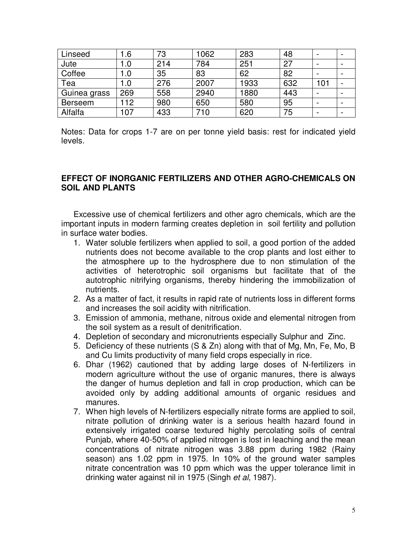| Linseed      | .6   | 73  | 1062 | 283  | 48  |     |  |
|--------------|------|-----|------|------|-----|-----|--|
| Jute         | 1.0  | 214 | 784  | 251  | 27  |     |  |
| Coffee       | 0. ا | 35  | 83   | 62   | 82  |     |  |
| Tea          | 1.0  | 276 | 2007 | 1933 | 632 | 101 |  |
| Guinea grass | 269  | 558 | 2940 | 1880 | 443 |     |  |
| Berseem      | 112  | 980 | 650  | 580  | 95  |     |  |
| Alfalfa      | 107  | 433 | 710  | 620  | 75  |     |  |

Notes: Data for crops 1-7 are on per tonne yield basis: rest for indicated yield levels.

#### **EFFECT OF INORGANIC FERTILIZERS AND OTHER AGRO-CHEMICALS ON SOIL AND PLANTS**

Excessive use of chemical fertilizers and other agro chemicals, which are the important inputs in modern farming creates depletion in soil fertility and pollution in surface water bodies.

- 1. Water soluble fertilizers when applied to soil, a good portion of the added nutrients does not become available to the crop plants and lost either to the atmosphere up to the hydrosphere due to non stimulation of the activities of heterotrophic soil organisms but facilitate that of the autotrophic nitrifying organisms, thereby hindering the immobilization of nutrients.
- 2. As a matter of fact, it results in rapid rate of nutrients loss in different forms and increases the soil acidity with nitrification.
- 3. Emission of ammonia, methane, nitrous oxide and elemental nitrogen from the soil system as a result of denitrification.
- 4. Depletion of secondary and micronutrients especially Sulphur and Zinc.
- 5. Deficiency of these nutrients (S & Zn) along with that of Mg, Mn, Fe, Mo, B and Cu limits productivity of many field crops especially in rice.
- 6. Dhar (1962) cautioned that by adding large doses of N-fertilizers in modern agriculture without the use of organic manures, there is always the danger of humus depletion and fall in crop production, which can be avoided only by adding additional amounts of organic residues and manures.
- 7. When high levels of N-fertilizers especially nitrate forms are applied to soil, nitrate pollution of drinking water is a serious health hazard found in extensively irrigated coarse textured highly percolating soils of central Punjab, where 40-50% of applied nitrogen is lost in leaching and the mean concentrations of nitrate nitrogen was 3.88 ppm during 1982 (Rainy season) ans 1.02 ppm in 1975. In 10% of the ground water samples nitrate concentration was 10 ppm which was the upper tolerance limit in drinking water against nil in 1975 (Singh et al, 1987).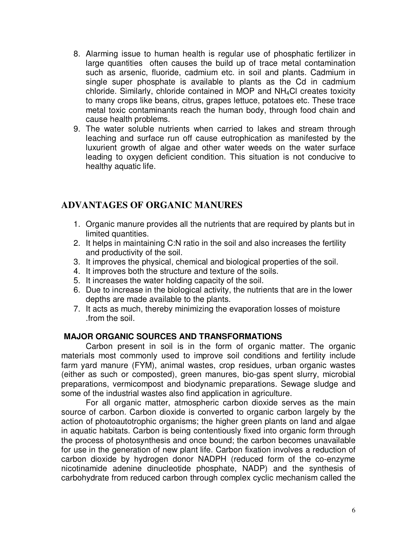- 8. Alarming issue to human health is regular use of phosphatic fertilizer in large quantities often causes the build up of trace metal contamination such as arsenic, fluoride, cadmium etc. in soil and plants. Cadmium in single super phosphate is available to plants as the Cd in cadmium chloride. Similarly, chloride contained in MOP and NH4Cl creates toxicity to many crops like beans, citrus, grapes lettuce, potatoes etc. These trace metal toxic contaminants reach the human body, through food chain and cause health problems.
- 9. The water soluble nutrients when carried to lakes and stream through leaching and surface run off cause eutrophication as manifested by the luxurient growth of algae and other water weeds on the water surface leading to oxygen deficient condition. This situation is not conducive to healthy aquatic life.

# **ADVANTAGES OF ORGANIC MANURES**

- 1. Organic manure provides all the nutrients that are required by plants but in limited quantities.
- 2. It helps in maintaining C:N ratio in the soil and also increases the fertility and productivity of the soil.
- 3. It improves the physical, chemical and biological properties of the soil.
- 4. It improves both the structure and texture of the soils.
- 5. It increases the water holding capacity of the soil.
- 6. Due to increase in the biological activity, the nutrients that are in the lower depths are made available to the plants.
- 7. It acts as much, thereby minimizing the evaporation losses of moisture .from the soil.

## **MAJOR ORGANIC SOURCES AND TRANSFORMATIONS**

 Carbon present in soil is in the form of organic matter. The organic materials most commonly used to improve soil conditions and fertility include farm yard manure (FYM), animal wastes, crop residues, urban organic wastes (either as such or composted), green manures, bio-gas spent slurry, microbial preparations, vermicompost and biodynamic preparations. Sewage sludge and some of the industrial wastes also find application in agriculture.

For all organic matter, atmospheric carbon dioxide serves as the main source of carbon. Carbon dioxide is converted to organic carbon largely by the action of photoautotrophic organisms; the higher green plants on land and algae in aquatic habitats. Carbon is being contentiously fixed into organic form through the process of photosynthesis and once bound; the carbon becomes unavailable for use in the generation of new plant life. Carbon fixation involves a reduction of carbon dioxide by hydrogen donor NADPH (reduced form of the co-enzyme nicotinamide adenine dinucleotide phosphate, NADP) and the synthesis of carbohydrate from reduced carbon through complex cyclic mechanism called the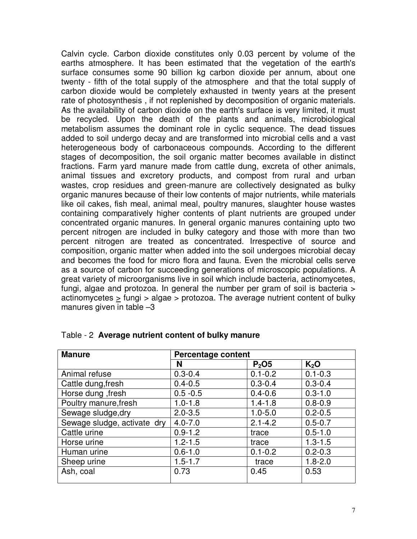Calvin cycle. Carbon dioxide constitutes only 0.03 percent by volume of the earths atmosphere. It has been estimated that the vegetation of the earth's surface consumes some 90 billion kg carbon dioxide per annum, about one twenty - fifth of the total supply of the atmosphere and that the total supply of carbon dioxide would be completely exhausted in twenty years at the present rate of photosynthesis , if not replenished by decomposition of organic materials. As the availability of carbon dioxide on the earth's surface is very limited, it must be recycled. Upon the death of the plants and animals, microbiological metabolism assumes the dominant role in cyclic sequence. The dead tissues added to soil undergo decay and are transformed into microbial cells and a vast heterogeneous body of carbonaceous compounds. According to the different stages of decomposition, the soil organic matter becomes available in distinct fractions. Farm yard manure made from cattle dung, excreta of other animals, animal tissues and excretory products, and compost from rural and urban wastes, crop residues and green-manure are collectively designated as bulky organic manures because of their low contents of major nutrients, while materials like oil cakes, fish meal, animal meal, poultry manures, slaughter house wastes containing comparatively higher contents of plant nutrients are grouped under concentrated organic manures. In general organic manures containing upto two percent nitrogen are included in bulky category and those with more than two percent nitrogen are treated as concentrated. Irrespective of source and composition, organic matter when added into the soil undergoes microbial decay and becomes the food for micro flora and fauna. Even the microbial cells serve as a source of carbon for succeeding generations of microscopic populations. A great variety of microorganisms live in soil which include bacteria, actinomycetes, fungi, algae and protozoa. In general the number per gram of soil is bacteria > actinomycetes > fungi > algae > protozoa. The average nutrient content of bulky manures given in table –3

| <b>Manure</b>               | Percentage content |                               |             |  |
|-----------------------------|--------------------|-------------------------------|-------------|--|
|                             | N                  | P <sub>2</sub> O <sub>5</sub> | $K_2O$      |  |
| Animal refuse               | $0.3 - 0.4$        | $0.1 - 0.2$                   | $0.1 - 0.3$ |  |
| Cattle dung, fresh          | $0.4 - 0.5$        | $0.3 - 0.4$                   | $0.3 - 0.4$ |  |
| Horse dung, fresh           | $0.5 - 0.5$        | $0.4 - 0.6$                   | $0.3 - 1.0$ |  |
| Poultry manure, fresh       | $1.0 - 1.8$        | $1.4 - 1.8$                   | $0.8 - 0.9$ |  |
| Sewage sludge, dry          | $2.0 - 3.5$        | $1.0 - 5.0$                   | $0.2 - 0.5$ |  |
| Sewage sludge, activate dry | $4.0 - 7.0$        | $2.1 - 4.2$                   | $0.5 - 0.7$ |  |
| Cattle urine                | $0.9 - 1.2$        | trace                         | $0.5 - 1.0$ |  |
| Horse urine                 | $1.2 - 1.5$        | trace                         | $1.3 - 1.5$ |  |
| Human urine                 | $0.6 - 1.0$        | $0.1 - 0.2$                   | $0.2 - 0.3$ |  |
| Sheep urine                 | $1.5 - 1.7$        | trace                         | $1.8 - 2.0$ |  |
| Ash, coal                   | 0.73               | 0.45                          | 0.53        |  |

#### Table - 2 **Average nutrient content of bulky manure**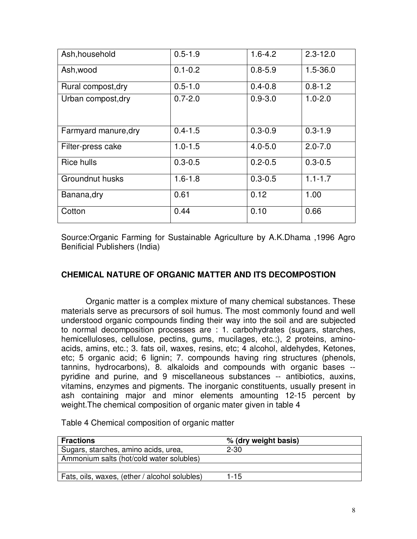| Ash, household       | $0.5 - 1.9$ | $1.6 - 4.2$ | $2.3 - 12.0$ |
|----------------------|-------------|-------------|--------------|
| Ash, wood            | $0.1 - 0.2$ | $0.8 - 5.9$ | $1.5 - 36.0$ |
| Rural compost, dry   | $0.5 - 1.0$ | $0.4 - 0.8$ | $0.8 - 1.2$  |
| Urban compost, dry   | $0.7 - 2.0$ | $0.9 - 3.0$ | $1.0 - 2.0$  |
| Farmyard manure, dry | $0.4 - 1.5$ | $0.3 - 0.9$ | $0.3 - 1.9$  |
| Filter-press cake    | $1.0 - 1.5$ | $4.0 - 5.0$ | $2.0 - 7.0$  |
| Rice hulls           | $0.3 - 0.5$ | $0.2 - 0.5$ | $0.3 - 0.5$  |
| Groundnut husks      | $1.6 - 1.8$ | $0.3 - 0.5$ | $1.1 - 1.7$  |
| Banana, dry          | 0.61        | 0.12        | 1.00         |
| Cotton               | 0.44        | 0.10        | 0.66         |

Source:Organic Farming for Sustainable Agriculture by A.K.Dhama ,1996 Agro Benificial Publishers (India)

#### **CHEMICAL NATURE OF ORGANIC MATTER AND ITS DECOMPOSTION**

 Organic matter is a complex mixture of many chemical substances. These materials serve as precursors of soil humus. The most commonly found and well understood organic compounds finding their way into the soil and are subjected to normal decomposition processes are : 1. carbohydrates (sugars, starches, hemicelluloses, cellulose, pectins, gums, mucilages, etc.;), 2 proteins, aminoacids, amins, etc.; 3. fats oil, waxes, resins, etc; 4 alcohol, aldehydes, Ketones, etc; 5 organic acid; 6 lignin; 7. compounds having ring structures (phenols, tannins, hydrocarbons), 8. alkaloids and compounds with organic bases - pyridine and purine, and 9 miscellaneous substances -- antibiotics, auxins, vitamins, enzymes and pigments. The inorganic constituents, usually present in ash containing major and minor elements amounting 12-15 percent by weight.The chemical composition of organic mater given in table 4

| <b>Fractions</b>                              | % (dry weight basis) |  |
|-----------------------------------------------|----------------------|--|
| Sugars, starches, amino acids, urea,          | $2 - 30$             |  |
| Ammonium salts (hot/cold water solubles)      |                      |  |
|                                               |                      |  |
| Fats, oils, waxes, (ether / alcohol solubles) | 1-15                 |  |

Table 4 Chemical composition of organic matter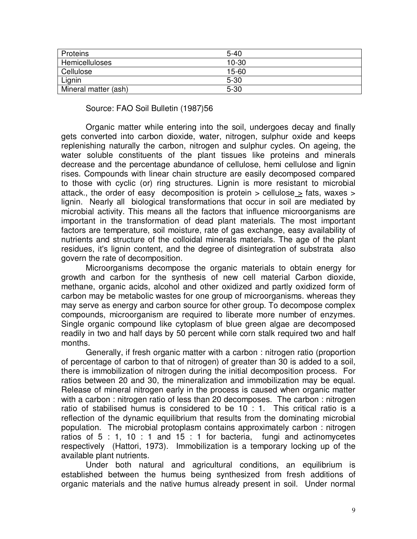| Proteins             | $5 - 40$  |  |
|----------------------|-----------|--|
| Hemicelluloses       | $10 - 30$ |  |
| Cellulose            | $15 - 60$ |  |
| Lignin               | $5 - 30$  |  |
| Mineral matter (ash) | $5 - 30$  |  |

Source: FAO Soil Bulletin (1987)56

Organic matter while entering into the soil, undergoes decay and finally gets converted into carbon dioxide, water, nitrogen, sulphur oxide and keeps replenishing naturally the carbon, nitrogen and sulphur cycles. On ageing, the water soluble constituents of the plant tissues like proteins and minerals decrease and the percentage abundance of cellulose, hemi cellulose and lignin rises. Compounds with linear chain structure are easily decomposed compared to those with cyclic (or) ring structures. Lignin is more resistant to microbial attack., the order of easy decomposition is protein  $>$  cellulose  $>$  fats, waxes  $>$ lignin. Nearly all biological transformations that occur in soil are mediated by microbial activity. This means all the factors that influence microorganisms are important in the transformation of dead plant materials. The most important factors are temperature, soil moisture, rate of gas exchange, easy availability of nutrients and structure of the colloidal minerals materials. The age of the plant residues, it's lignin content, and the degree of disintegration of substrata also govern the rate of decomposition.

 Microorganisms decompose the organic materials to obtain energy for growth and carbon for the synthesis of new cell material Carbon dioxide, methane, organic acids, alcohol and other oxidized and partly oxidized form of carbon may be metabolic wastes for one group of microorganisms. whereas they may serve as energy and carbon source for other group. To decompose complex compounds, microorganism are required to liberate more number of enzymes. Single organic compound like cytoplasm of blue green algae are decomposed readily in two and half days by 50 percent while corn stalk required two and half months.

 Generally, if fresh organic matter with a carbon : nitrogen ratio (proportion of percentage of carbon to that of nitrogen) of greater than 30 is added to a soil, there is immobilization of nitrogen during the initial decomposition process. For ratios between 20 and 30, the mineralization and immobilization may be equal. Release of mineral nitrogen early in the process is caused when organic matter with a carbon : nitrogen ratio of less than 20 decomposes. The carbon : nitrogen ratio of stabilised humus is considered to be 10 : 1. This critical ratio is a reflection of the dynamic equilibrium that results from the dominating microbial population. The microbial protoplasm contains approximately carbon : nitrogen ratios of 5 : 1, 10 : 1 and 15 : 1 for bacteria, fungi and actinomycetes respectively (Hattori, 1973). Immobilization is a temporary locking up of the available plant nutrients.

 Under both natural and agricultural conditions, an equilibrium is established between the humus being synthesized from fresh additions of organic materials and the native humus already present in soil. Under normal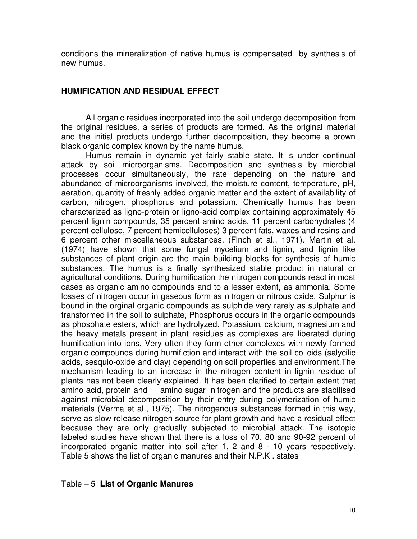conditions the mineralization of native humus is compensated by synthesis of new humus.

#### **HUMIFICATION AND RESIDUAL EFFECT**

All organic residues incorporated into the soil undergo decomposition from the original residues, a series of products are formed. As the original material and the initial products undergo further decomposition, they become a brown black organic complex known by the name humus.

Humus remain in dynamic yet fairly stable state. It is under continual attack by soil microorganisms. Decomposition and synthesis by microbial processes occur simultaneously, the rate depending on the nature and abundance of microorganisms involved, the moisture content, temperature, pH, aeration, quantity of freshly added organic matter and the extent of availability of carbon, nitrogen, phosphorus and potassium. Chemically humus has been characterized as ligno-protein or ligno-acid complex containing approximately 45 percent lignin compounds, 35 percent amino acids, 11 percent carbohydrates (4 percent cellulose, 7 percent hemicelluloses) 3 percent fats, waxes and resins and 6 percent other miscellaneous substances. (Finch et al., 1971). Martin et al. (1974) have shown that some fungal mycelium and lignin, and lignin like substances of plant origin are the main building blocks for synthesis of humic substances. The humus is a finally synthesized stable product in natural or agricultural conditions. During humification the nitrogen compounds react in most cases as organic amino compounds and to a lesser extent, as ammonia. Some losses of nitrogen occur in gaseous form as nitrogen or nitrous oxide. Sulphur is bound in the orginal organic compounds as sulphide very rarely as sulphate and transformed in the soil to sulphate, Phosphorus occurs in the organic compounds as phosphate esters, which are hydrolyzed. Potassium, calcium, magnesium and the heavy metals present in plant residues as complexes are liberated during humification into ions. Very often they form other complexes with newly formed organic compounds during humifiction and interact with the soil colloids (salycilic acids, sesquio-oxide and clay) depending on soil properties and environment.The mechanism leading to an increase in the nitrogen content in lignin residue of plants has not been clearly explained. It has been clarified to certain extent that amino acid, protein and amino sugar nitrogen and the products are stabilised against microbial decomposition by their entry during polymerization of humic materials (Verma et al., 1975). The nitrogenous substances formed in this way, serve as slow release nitrogen source for plant growth and have a residual effect because they are only gradually subjected to microbial attack. The isotopic labeled studies have shown that there is a loss of 70, 80 and 90-92 percent of incorporated organic matter into soil after 1, 2 and 8 - 10 years respectively. Table 5 shows the list of organic manures and their N.P.K . states

#### Table – 5 **List of Organic Manures**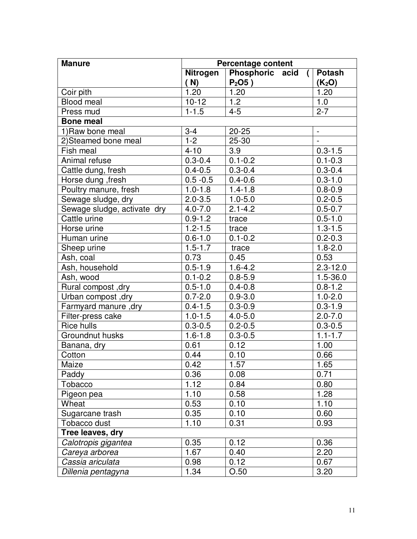| <b>Manure</b>               | <b>Percentage content</b> |                                   |                        |  |
|-----------------------------|---------------------------|-----------------------------------|------------------------|--|
|                             | Nitrogen                  | Phosphoric acid<br>$\overline{ }$ | <b>Potash</b>          |  |
|                             | (M)                       | $P2$ O5)                          | (K <sub>2</sub> O)     |  |
| Coir pith                   | 1.20                      | 1.20                              | 1.20                   |  |
| <b>Blood meal</b>           | $10 - 12$                 | 1.2                               | 1.0                    |  |
| Press mud                   | $1 - 1.5$                 | $4 - 5$                           | $2 - 7$                |  |
| <b>Bone meal</b>            |                           |                                   |                        |  |
| 1) Raw bone meal            | $3 - 4$                   | $20 - 25$                         | $\blacksquare$         |  |
| 2)Steamed bone meal         | $1 - 2$                   | $25 - 30$                         | $\Box$                 |  |
| Fish meal                   | $4 - 10$                  | 3.9                               | $0.3 - 1.5$            |  |
| Animal refuse               | $0.3 - 0.4$               | $0.1 - 0.2$                       | $0.1 - 0.3$            |  |
| Cattle dung, fresh          | $0.4 - 0.5$               | $0.3 - 0.4$                       | $0.3 - 0.4$            |  |
| Horse dung, fresh           | $0.5 - 0.5$               | $0.4 - 0.6$                       | $0.3 - 1.0$            |  |
| Poultry manure, fresh       | $1.0 - 1.8$               | $1.4 - 1.8$                       | $0.8 - 0.9$            |  |
| Sewage sludge, dry          | $2.0 - 3.5$               | $1.0 - 5.0$                       | $0.2 - 0.5$            |  |
| Sewage sludge, activate dry | $4.0 - 7.0$               | $2.1 - 4.2$                       | $0.5 - 0.7$            |  |
| Cattle urine                | $0.9 - 1.2$               | trace                             | $0.5 - 1.0$            |  |
| Horse urine                 | $1.2 - 1.5$               | trace                             | $\overline{1}.3 - 1.5$ |  |
| Human urine                 | $0.6 - 1.0$               | $0.1 - 0.2$                       | $0.2 - 0.3$            |  |
| Sheep urine                 | $1.5 - 1.7$               | trace                             | $1.8 - 2.0$            |  |
| Ash, coal                   | 0.73                      | 0.45                              | 0.53                   |  |
| Ash, household              | $0.5 - 1.9$               | $1.6 - 4.2$                       | $2.3 - 12.0$           |  |
| Ash, wood                   | $0.1 - 0.2$               | $0.8 - 5.9$                       | $1.5 - 36.0$           |  |
| Rural compost, dry          | $0.5 - 1.0$               | $0.4 - 0.8$                       | $0.8 - 1.2$            |  |
| Urban compost, dry          | $0.7 - 2.0$               | $0.9 - 3.0$                       | $1.0 - 2.0$            |  |
| Farmyard manure, dry        | $0.4 - 1.5$               | $0.3 - 0.9$                       | $0.3 - 1.9$            |  |
| Filter-press cake           | $1.0 - 1.5$               | $4.0 - 5.0$                       | $2.0 - 7.0$            |  |
| <b>Rice hulls</b>           | $0.3 - 0.5$               | $0.2 - 0.5$                       | $0.3 - 0.5$            |  |
| Groundnut husks             | $1.6 - 1.8$               | $0.3 - 0.5$                       | $1.1 - 1.7$            |  |
| Banana, dry                 | 0.61                      | 0.12                              | 1.00                   |  |
| Cotton                      | 0.44                      | 0.10                              | 0.66                   |  |
| Maize                       | 0.42                      | 1.57                              | 1.65                   |  |
| Paddy                       | 0.36                      | 0.08                              | 0.71                   |  |
| Tobacco                     | 1.12                      | 0.84                              | 0.80                   |  |
| Pigeon pea                  | 1.10                      | 0.58                              | 1.28                   |  |
| Wheat                       | 0.53                      | 0.10                              | 1.10                   |  |
| Sugarcane trash             | 0.35                      | 0.10                              | 0.60                   |  |
| Tobacco dust                | 1.10                      | 0.31                              | 0.93                   |  |
| Tree leaves, dry            |                           |                                   |                        |  |
| Calotropis gigantea         | 0.35                      | 0.12                              | 0.36                   |  |
| Careya arborea              | 1.67                      | 0.40                              | 2.20                   |  |
| Cassia ariculata            | 0.98                      | 0.12                              | 0.67                   |  |
| Dillenia pentagyna          | 1.34                      | O.50                              | 3.20                   |  |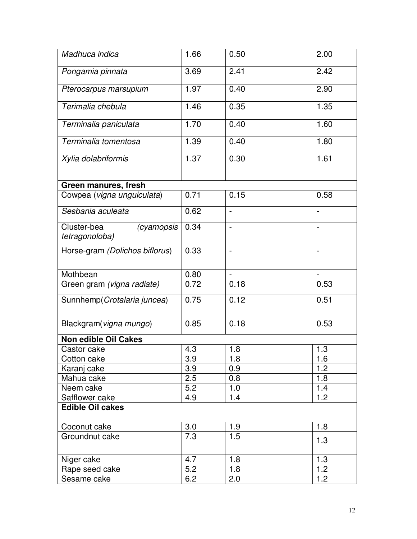| Madhuca indica                              | 1.66 | 0.50                     | 2.00 |
|---------------------------------------------|------|--------------------------|------|
| Pongamia pinnata                            | 3.69 | 2.41                     | 2.42 |
| Pterocarpus marsupium                       | 1.97 | 0.40                     | 2.90 |
| Terimalia chebula                           | 1.46 | 0.35                     | 1.35 |
| Terminalia paniculata                       | 1.70 | 0.40                     | 1.60 |
| Terminalia tomentosa                        | 1.39 | 0.40                     | 1.80 |
| Xylia dolabriformis                         | 1.37 | 0.30                     | 1.61 |
| Green manures, fresh                        |      |                          |      |
| Cowpea (vigna unguiculata)                  | 0.71 | 0.15                     | 0.58 |
| Sesbania aculeata                           | 0.62 |                          |      |
| Cluster-bea<br>(cyamopsis<br>tetragonoloba) | 0.34 |                          |      |
| Horse-gram (Dolichos biflorus)              | 0.33 | $\overline{\phantom{0}}$ |      |
| Mothbean                                    | 0.80 |                          |      |
| Green gram (vigna radiate)                  | 0.72 | 0.18                     | 0.53 |
| Sunnhemp (Crotalaria juncea)                | 0.75 | 0.12                     | 0.51 |
| Blackgram(vigna mungo)                      | 0.85 | 0.18                     | 0.53 |
| <b>Non edible Oil Cakes</b>                 |      |                          |      |
| Castor cake                                 | 4.3  | 1.8                      | 1.3  |
| Cotton cake                                 | 3.9  | 1.8                      | 1.6  |
| Karanj cake                                 | 3.9  | 0.9                      | 1.2  |
| Mahua cake                                  | 2.5  | 0.8                      | 1.8  |
| Neem cake                                   | 5.2  | 1.0                      | 1.4  |
| Safflower cake<br><b>Edible Oil cakes</b>   | 4.9  | 1.4                      | 1.2  |
| Coconut cake                                | 3.0  | 1.9                      | 1.8  |
| Groundnut cake                              | 7.3  | 1.5                      | 1.3  |
| Niger cake                                  | 4.7  | 1.8                      | 1.3  |
| Rape seed cake                              | 5.2  | 1.8                      | 1.2  |
| Sesame cake                                 | 6.2  | 2.0                      | 1.2  |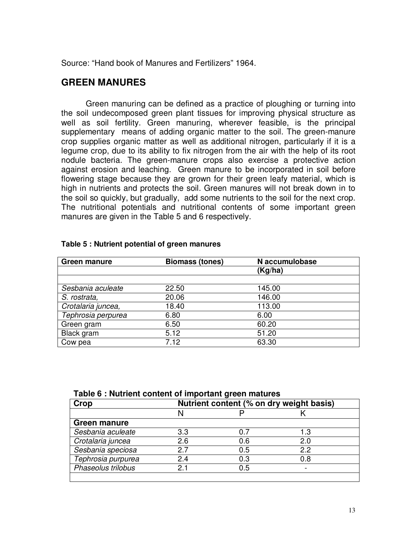Source: "Hand book of Manures and Fertilizers" 1964.

#### **GREEN MANURES**

Green manuring can be defined as a practice of ploughing or turning into the soil undecomposed green plant tissues for improving physical structure as well as soil fertility. Green manuring, wherever feasible, is the principal supplementary means of adding organic matter to the soil. The green-manure crop supplies organic matter as well as additional nitrogen, particularly if it is a legume crop, due to its ability to fix nitrogen from the air with the help of its root nodule bacteria. The green-manure crops also exercise a protective action against erosion and leaching. Green manure to be incorporated in soil before flowering stage because they are grown for their green leafy material, which is high in nutrients and protects the soil. Green manures will not break down in to the soil so quickly, but gradually, add some nutrients to the soil for the next crop. The nutritional potentials and nutritional contents of some important green manures are given in the Table 5 and 6 respectively.

| <b>Green manure</b> | <b>Biomass (tones)</b> | N accumulobase |
|---------------------|------------------------|----------------|
|                     |                        | (Kg/ha)        |
|                     |                        |                |
| Sesbania aculeate   | 22.50                  | 145.00         |
| S. rostrata,        | 20.06                  | 146.00         |
| Crotalaria juncea,  | 18.40                  | 113.00         |
| Tephrosia perpurea  | 6.80                   | 6.00           |
| Green gram          | 6.50                   | 60.20          |
| Black gram          | 5.12                   | 51.20          |
| Cow pea             | 7.12                   | 63.30          |

#### **Table 5 : Nutrient potential of green manures**

| Table 6 : Nutrient content of important green matures |  |  |  |
|-------------------------------------------------------|--|--|--|
|-------------------------------------------------------|--|--|--|

| Crop                | Nutrient content (% on dry weight basis) |     |     |  |
|---------------------|------------------------------------------|-----|-----|--|
|                     | N                                        |     |     |  |
| <b>Green manure</b> |                                          |     |     |  |
| Sesbania aculeate   | 3.3                                      |     | 1.3 |  |
| Crotalaria juncea   | 2.6                                      | 0.6 | 2.0 |  |
| Sesbania speciosa   | 27                                       | 0.5 | 22  |  |
| Tephrosia purpurea  | 24                                       | 0.3 | 0.8 |  |
| Phaseolus trilobus  | 2.                                       | 0.5 |     |  |
|                     |                                          |     |     |  |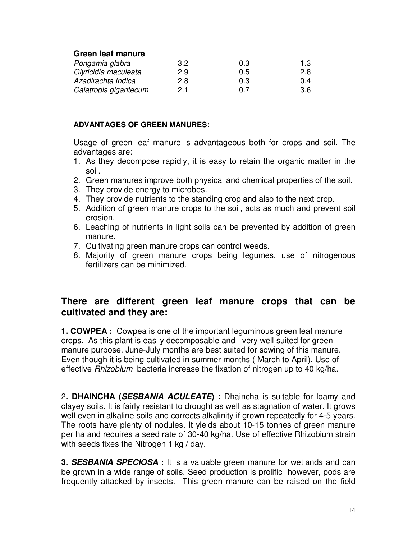| <b>Green leaf manure</b> |     |     |  |
|--------------------------|-----|-----|--|
| Pongamia glabra          | 0.3 |     |  |
| Glyricidia maculeata     | 0.5 |     |  |
| Azadirachta Indica       | 0.3 |     |  |
| Calatropis gigantecum    |     | 3 R |  |

#### **ADVANTAGES OF GREEN MANURES:**

Usage of green leaf manure is advantageous both for crops and soil. The advantages are:

- 1. As they decompose rapidly, it is easy to retain the organic matter in the soil.
- 2. Green manures improve both physical and chemical properties of the soil.
- 3. They provide energy to microbes.
- 4. They provide nutrients to the standing crop and also to the next crop.
- 5. Addition of green manure crops to the soil, acts as much and prevent soil erosion.
- 6. Leaching of nutrients in light soils can be prevented by addition of green manure.
- 7. Cultivating green manure crops can control weeds.
- 8. Majority of green manure crops being legumes, use of nitrogenous fertilizers can be minimized.

## **There are different green leaf manure crops that can be cultivated and they are:**

**1. COWPEA :** Cowpea is one of the important leguminous green leaf manure crops. As this plant is easily decomposable and very well suited for green manure purpose. June-July months are best suited for sowing of this manure. Even though it is being cultivated in summer months ( March to April). Use of effective Rhizobium bacteria increase the fixation of nitrogen up to 40 kg/ha.

2**. DHAINCHA (SESBANIA ACULEATE) :** Dhaincha is suitable for loamy and clayey soils. It is fairly resistant to drought as well as stagnation of water. It grows well even in alkaline soils and corrects alkalinity if grown repeatedly for 4-5 years. The roots have plenty of nodules. It yields about 10-15 tonnes of green manure per ha and requires a seed rate of 30-40 kg/ha. Use of effective Rhizobium strain with seeds fixes the Nitrogen 1 kg / day.

**3. SESBANIA SPECIOSA :** It is a valuable green manure for wetlands and can be grown in a wide range of soils. Seed production is prolific however, pods are frequently attacked by insects. This green manure can be raised on the field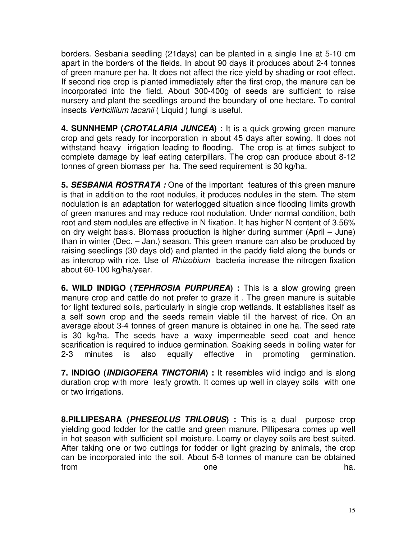borders. Sesbania seedling (21days) can be planted in a single line at 5-10 cm apart in the borders of the fields. In about 90 days it produces about 2-4 tonnes of green manure per ha. It does not affect the rice yield by shading or root effect. If second rice crop is planted immediately after the first crop, the manure can be incorporated into the field. About 300-400g of seeds are sufficient to raise nursery and plant the seedlings around the boundary of one hectare. To control insects Verticillium lacanii ( Liquid ) fungi is useful.

**4. SUNNHEMP (CROTALARIA JUNCEA) :** It is a quick growing green manure crop and gets ready for incorporation in about 45 days after sowing. It does not withstand heavy irrigation leading to flooding. The crop is at times subject to complete damage by leaf eating caterpillars. The crop can produce about 8-12 tonnes of green biomass per ha. The seed requirement is 30 kg/ha.

**5. SESBANIA ROSTRATA :** One of the important features of this green manure is that in addition to the root nodules, it produces nodules in the stem. The stem nodulation is an adaptation for waterlogged situation since flooding limits growth of green manures and may reduce root nodulation. Under normal condition, both root and stem nodules are effective in N fixation. It has higher N content of 3.56% on dry weight basis. Biomass production is higher during summer (April – June) than in winter (Dec. – Jan.) season. This green manure can also be produced by raising seedlings (30 days old) and planted in the paddy field along the bunds or as intercrop with rice. Use of Rhizobium bacteria increase the nitrogen fixation about 60-100 kg/ha/year.

**6. WILD INDIGO (TEPHROSIA PURPUREA) :** This is a slow growing green manure crop and cattle do not prefer to graze it . The green manure is suitable for light textured soils, particularly in single crop wetlands. It establishes itself as a self sown crop and the seeds remain viable till the harvest of rice. On an average about 3-4 tonnes of green manure is obtained in one ha. The seed rate is 30 kg/ha. The seeds have a waxy impermeable seed coat and hence scarification is required to induce germination. Soaking seeds in boiling water for 2-3 minutes is also equally effective in promoting germination.

**7. INDIGO (INDIGOFERA TINCTORIA) :** It resembles wild indigo and is along duration crop with more leafy growth. It comes up well in clayey soils with one or two irrigations.

**8.PILLIPESARA (PHESEOLUS TRILOBUS) :** This is a dual purpose crop yielding good fodder for the cattle and green manure. Pillipesara comes up well in hot season with sufficient soil moisture. Loamy or clayey soils are best suited. After taking one or two cuttings for fodder or light grazing by animals, the crop can be incorporated into the soil. About 5-8 tonnes of manure can be obtained from ha.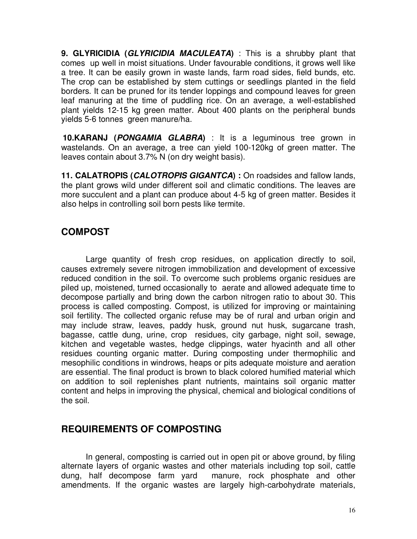**9. GLYRICIDIA (GLYRICIDIA MACULEATA)** : This is a shrubby plant that comes up well in moist situations. Under favourable conditions, it grows well like a tree. It can be easily grown in waste lands, farm road sides, field bunds, etc. The crop can be established by stem cuttings or seedlings planted in the field borders. It can be pruned for its tender loppings and compound leaves for green leaf manuring at the time of puddling rice. On an average, a well-established plant yields 12-15 kg green matter. About 400 plants on the peripheral bunds yields 5-6 tonnes green manure/ha.

 **10.KARANJ (PONGAMIA GLABRA)** : It is a leguminous tree grown in wastelands. On an average, a tree can yield 100-120kg of green matter. The leaves contain about 3.7% N (on dry weight basis).

**11. CALATROPIS (CALOTROPIS GIGANTCA) :** On roadsides and fallow lands, the plant grows wild under different soil and climatic conditions. The leaves are more succulent and a plant can produce about 4-5 kg of green matter. Besides it also helps in controlling soil born pests like termite.

# **COMPOST**

 Large quantity of fresh crop residues, on application directly to soil, causes extremely severe nitrogen immobilization and development of excessive reduced condition in the soil. To overcome such problems organic residues are piled up, moistened, turned occasionally to aerate and allowed adequate time to decompose partially and bring down the carbon nitrogen ratio to about 30. This process is called composting. Compost, is utilized for improving or maintaining soil fertility. The collected organic refuse may be of rural and urban origin and may include straw, leaves, paddy husk, ground nut husk, sugarcane trash, bagasse, cattle dung, urine, crop residues, city garbage, night soil, sewage, kitchen and vegetable wastes, hedge clippings, water hyacinth and all other residues counting organic matter. During composting under thermophilic and mesophilic conditions in windrows, heaps or pits adequate moisture and aeration are essential. The final product is brown to black colored humified material which on addition to soil replenishes plant nutrients, maintains soil organic matter content and helps in improving the physical, chemical and biological conditions of the soil.

# **REQUIREMENTS OF COMPOSTING**

 In general, composting is carried out in open pit or above ground, by filing alternate layers of organic wastes and other materials including top soil, cattle dung, half decompose farm yard manure, rock phosphate and other amendments. If the organic wastes are largely high-carbohydrate materials,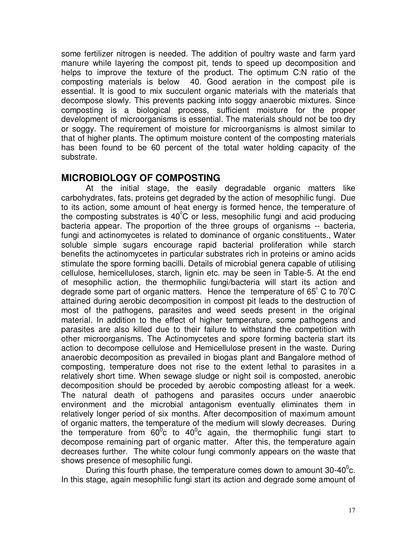some fertilizer nitrogen is needed. The addition of poultry waste and farm yard manure while layering the compost pit, tends to speed up decomposition and helps to improve the texture of the product. The optimum C:N ratio of the composting materials is below 40. Good aeration in the compost pile is essential. It is good to mix succulent organic materials with the materials that decompose slowly. This prevents packing into soggy anaerobic mixtures. Since composting is a biological process, sufficient moisture for the proper development of microorganisms is essential. The materials should not be too dry or soggy. The requirement of moisture for microorganisms is almost similar to that of higher plants. The optimum moisture content of the composting materials has been found to be 60 percent of the total water holding capacity of the substrate.

## **MICROBIOLOGY OF COMPOSTING**

At the initial stage, the easily degradable organic matters like carbohydrates, fats, proteins get degraded by the action of mesophilic fungi. Due to its action, some amount of heat energy is formed hence, the temperature of the composting substrates is 40 $^{\circ}$ C or less, mesophilic fungi and acid producing bacteria appear. The proportion of the three groups of organisms -- bacteria, fungi and actinomycetes is related to dominance of organic constituents., Water soluble simple sugars encourage rapid bacterial proliferation while starch benefits the actinomycetes in particular substrates rich in proteins or amino acids stimulate the spore forming bacilli. Details of microbial genera capable of utilising cellulose, hemicelluloses, starch, lignin etc. may be seen in Table-5. At the end of mesophilic action, the thermophilic fungi/bacteria will start its action and degrade some part of organic matters. Hence the temperature of 65 $\degree$  C to 70 $\degree$ C attained during aerobic decomposition in compost pit leads to the destruction of most of the pathogens, parasites and weed seeds present in the original material. In addition to the effect of higher temperature, some pathogens and parasites are also killed due to their failure to withstand the competition with other microorganisms. The Actinomycetes and spore forming bacteria start its action to decompose cellulose and Hemicellulose present in the waste. During anaerobic decomposition as prevailed in biogas plant and Bangalore method of composting, temperature does not rise to the extent lethal to parasites in a relatively short time. When sewage sludge or night soil is composted, anerobic decomposition should be proceded by aerobic composting atleast for a week. The natural death of pathogens and parasites occurs under anaerobic environment and the microbial antagonism eventually eliminates them in relatively longer period of six months. After decomposition of maximum amount of organic matters, the temperature of the medium will slowly decreases. During the temperature from 60 $^{0}$ c to 40 $^{0}$ c again, the thermophilic fungi start to decompose remaining part of organic matter. After this, the temperature again decreases further. The white colour fungi commonly appears on the waste that shows presence of mesophilic fungi.

During this fourth phase, the temperature comes down to amount 30-40 $^0$ c. In this stage, again mesophilic fungi start its action and degrade some amount of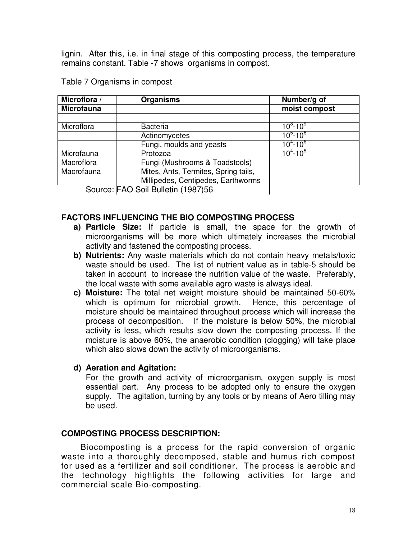lignin. After this, i.e. in final stage of this composting process, the temperature remains constant. Table -7 shows organisms in compost.

| Microflora /      | <b>Organisms</b>                     | Number/g of   |
|-------------------|--------------------------------------|---------------|
| <b>Microfauna</b> |                                      | moist compost |
|                   |                                      |               |
| Microflora        | <b>Bacteria</b>                      | $10^8 - 10^9$ |
|                   | Actinomycetes                        | $10^5 - 10^8$ |
|                   | Fungi, moulds and yeasts             | $10^4 - 10^6$ |
| Microfauna        | Protozoa                             | $10^4 - 10^5$ |
| Macroflora        | Fungi (Mushrooms & Toadstools)       |               |
| Macrofauna        | Mites, Ants, Termites, Spring tails, |               |
|                   | Millipedes, Centipedes, Earthworms   |               |
|                   | Source: FAO Soil Bulletin (1987)56   |               |

|  | Table 7 Organisms in compost |  |  |
|--|------------------------------|--|--|
|--|------------------------------|--|--|

#### **FACTORS INFLUENCING THE BIO COMPOSTING PROCESS**

- **a) Particle Size:** If particle is small, the space for the growth of microorganisms will be more which ultimately increases the microbial activity and fastened the composting process.
- **b) Nutrients:** Any waste materials which do not contain heavy metals/toxic waste should be used. The list of nutrient value as in table-5 should be taken in account to increase the nutrition value of the waste. Preferably, the local waste with some available agro waste is always ideal.
- **c) Moisture:** The total net weight moisture should be maintained 50-60% which is optimum for microbial growth. Hence, this percentage of moisture should be maintained throughout process which will increase the process of decomposition. If the moisture is below 50%, the microbial activity is less, which results slow down the composting process. If the moisture is above 60%, the anaerobic condition (clogging) will take place which also slows down the activity of microorganisms.
- **d) Aeration and Agitation:**

 For the growth and activity of microorganism, oxygen supply is most essential part. Any process to be adopted only to ensure the oxygen supply. The agitation, turning by any tools or by means of Aero tilling may be used.

#### **COMPOSTING PROCESS DESCRIPTION:**

Biocomposting is a process for the rapid conversion of organic waste into a thoroughly decomposed, stable and humus rich compost for used as a fertilizer and soil conditioner. The process is aerobic and the technology highlights the following activities for large and commercial scale Bio-composting.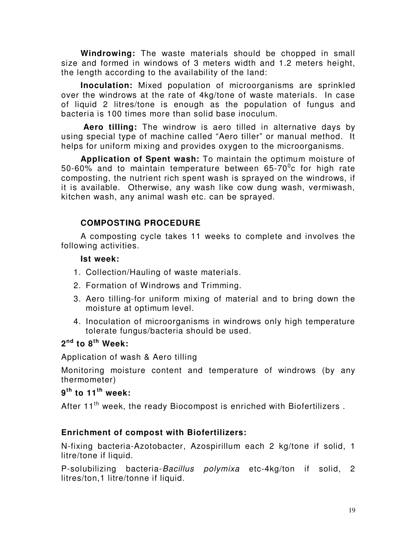**Windrowing:** The waste materials should be chopped in small size and formed in windows of 3 meters width and 1.2 meters height, the length according to the availability of the land:

**Inoculation:** Mixed population of microorganisms are sprinkled over the windrows at the rate of 4kg/tone of waste materials. In case of liquid 2 litres/tone is enough as the population of fungus and bacteria is 100 times more than solid base inoculum.

**Aero tilling:** The windrow is aero tilled in alternative days by using special type of machine called "Aero tiller" or manual method. It helps for uniform mixing and provides oxygen to the microorganisms.

**Application of Spent wash:** To maintain the optimum moisture of 50-60% and to maintain temperature between 65-70 $^{\rm 0}$ c for high rate composting, the nutrient rich spent wash is sprayed on the windrows, if it is available. Otherwise, any wash like cow dung wash, vermiwash, kitchen wash, any animal wash etc. can be sprayed.

## **COMPOSTING PROCEDURE**

A composting cycle takes 11 weeks to complete and involves the following activities.

#### **Ist week:**

- 1. Collection/Hauling of waste materials.
- 2. Formation of Windrows and Trimming.
- 3. Aero tilling-for uniform mixing of material and to bring down the moisture at optimum level.
- 4. Inoculation of microorganisms in windrows only high temperature tolerate fungus/bacteria should be used.

## **2 nd to 8th Week:**

Application of wash & Aero tilling

Monitoring moisture content and temperature of windrows (by any thermometer)

## **9 th to 11th week:**

After 11<sup>th</sup> week, the ready Biocompost is enriched with Biofertilizers.

## **Enrichment of compost with Biofertilizers:**

N-fixing bacteria-Azotobacter, Azospirillum each 2 kg/tone if solid, 1 litre/tone if liquid.

P-solubilizing bacteria-Bacillus polymixa etc-4kg/ton if solid, 2 litres/ton,1 litre/tonne if liquid.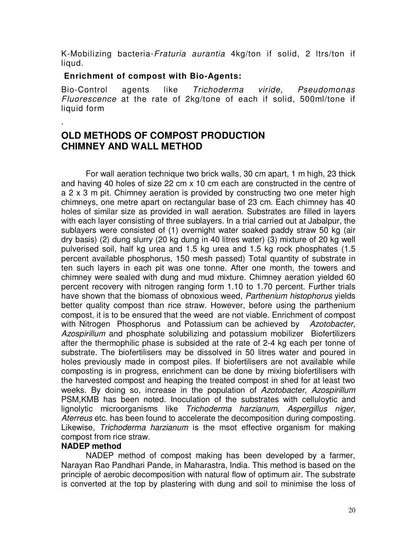K-Mobilizing bacteria-Fraturia aurantia 4kg/ton if solid, 2 ltrs/ton if liqud.

#### **Enrichment of compost with Bio-Agents:**

Bio-Control agents like Trichoderma viride, Pseudomonas Fluorescence at the rate of 2kg/tone of each if solid, 500ml/tone if liquid form

# **OLD METHODS OF COMPOST PRODUCTION CHIMNEY AND WALL METHOD**

 For wall aeration technique two brick walls, 30 cm apart, 1 m high, 23 thick and having 40 holes of size 22 cm x 10 cm each are constructed in the centre of a 2 x 3 m pit. Chimney aeration is provided by constructing two one meter high chimneys, one metre apart on rectangular base of 23 cm. Each chimney has 40 holes of similar size as provided in wall aeration. Substrates are filled in layers with each layer consisting of three sublayers. In a trial carried out at Jabalpur, the sublayers were consisted of (1) overnight water soaked paddy straw 50 kg (air dry basis) (2) dung slurry (20 kg dung in 40 litres water) (3) mixture of 20 kg well pulverised soil, half kg urea and 1.5 kg urea and 1.5 kg rock phosphates (1.5 percent available phosphorus, 150 mesh passed) Total quantity of substrate in ten such layers in each pit was one tonne. After one month, the towers and chimney were sealed with dung and mud mixture. Chimney aeration yielded 60 percent recovery with nitrogen ranging form 1.10 to 1.70 percent. Further trials have shown that the biomass of obnoxious weed, Parthenium histophorus yields better quality compost than rice straw. However, before using the parthenium compost, it is to be ensured that the weed are not viable. Enrichment of compost with Nitrogen Phosphorus and Potassium can be achieved by Azotobacter, Azospirillum and phosphate solubilizing and potassium mobilizer Biofertilizers after the thermophilic phase is subsided at the rate of 2-4 kg each per tonne of substrate. The biofertilisers may be dissolved in 50 litres water and poured in holes previously made in compost piles. If biofertilisers are not available while composting is in progress, enrichment can be done by mixing biofertilisers with the harvested compost and heaping the treated compost in shed for at least two weeks. By doing so, increase in the population of Azotobacter, Azospirillum PSM,KMB has been noted. Inoculation of the substrates with celluloytic and lignolytic microorganisms like Trichoderma harzianum, Aspergillus niger, Aterreus etc. has been found to accelerate the decomposition during composting. Likewise, *Trichoderma harzianum* is the msot effective organism for making compost from rice straw.

## **NADEP method**

.

 NADEP method of compost making has been developed by a farmer, Narayan Rao Pandhari Pande, in Maharastra, India. This method is based on the principle of aerobic decomposition with natural flow of optimum air. The substrate is converted at the top by plastering with dung and soil to minimise the loss of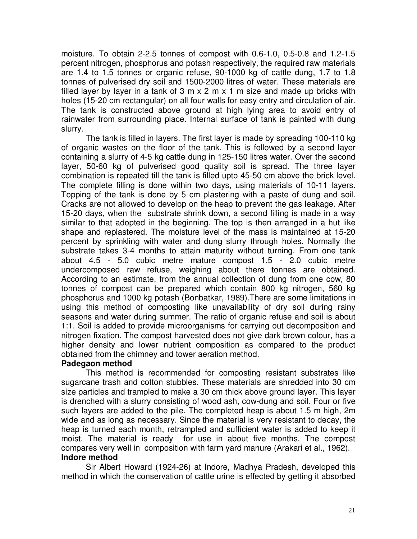moisture. To obtain 2-2.5 tonnes of compost with 0.6-1.0, 0.5-0.8 and 1.2-1.5 percent nitrogen, phosphorus and potash respectively, the required raw materials are 1.4 to 1.5 tonnes or organic refuse, 90-1000 kg of cattle dung, 1.7 to 1.8 tonnes of pulverised dry soil and 1500-2000 litres of water. These materials are filled layer by layer in a tank of  $3 \text{ m} \times 2 \text{ m} \times 1 \text{ m}$  size and made up bricks with holes (15-20 cm rectangular) on all four walls for easy entry and circulation of air. The tank is constructed above ground at high lying area to avoid entry of rainwater from surrounding place. Internal surface of tank is painted with dung slurry.

 The tank is filled in layers. The first layer is made by spreading 100-110 kg of organic wastes on the floor of the tank. This is followed by a second layer containing a slurry of 4-5 kg cattle dung in 125-150 litres water. Over the second layer, 50-60 kg of pulverised good quality soil is spread. The three layer combination is repeated till the tank is filled upto 45-50 cm above the brick level. The complete filling is done within two days, using materials of 10-11 layers. Topping of the tank is done by 5 cm plastering with a paste of dung and soil. Cracks are not allowed to develop on the heap to prevent the gas leakage. After 15-20 days, when the substrate shrink down, a second filling is made in a way similar to that adopted in the beginning. The top is then arranged in a hut like shape and replastered. The moisture level of the mass is maintained at 15-20 percent by sprinkling with water and dung slurry through holes. Normally the substrate takes 3-4 months to attain maturity without turning. From one tank about 4.5 - 5.0 cubic metre mature compost 1.5 - 2.0 cubic metre undercomposed raw refuse, weighing about there tonnes are obtained. According to an estimate, from the annual collection of dung from one cow, 80 tonnes of compost can be prepared which contain 800 kg nitrogen, 560 kg phosphorus and 1000 kg potash (Bonbatkar, 1989).There are some limitations in using this method of composting like unavailability of dry soil during rainy seasons and water during summer. The ratio of organic refuse and soil is about 1:1. Soil is added to provide microorganisms for carrying out decomposition and nitrogen fixation. The compost harvested does not give dark brown colour, has a higher density and lower nutrient composition as compared to the product obtained from the chimney and tower aeration method.

#### **Padegaon method**

 This method is recommended for composting resistant substrates like sugarcane trash and cotton stubbles. These materials are shredded into 30 cm size particles and trampled to make a 30 cm thick above ground layer. This layer is drenched with a slurry consisting of wood ash, cow-dung and soil. Four or five such layers are added to the pile. The completed heap is about 1.5 m high, 2m wide and as long as necessary. Since the material is very resistant to decay, the heap is turned each month, retrampled and sufficient water is added to keep it moist. The material is ready for use in about five months. The compost compares very well in composition with farm yard manure (Arakari et al., 1962). **Indore method** 

Sir Albert Howard (1924-26) at Indore, Madhya Pradesh, developed this method in which the conservation of cattle urine is effected by getting it absorbed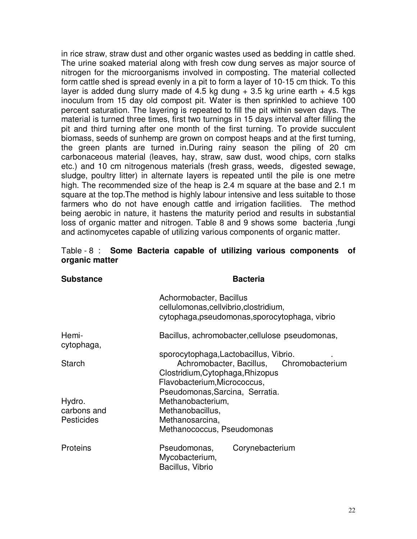in rice straw, straw dust and other organic wastes used as bedding in cattle shed. The urine soaked material along with fresh cow dung serves as major source of nitrogen for the microorganisms involved in composting. The material collected form cattle shed is spread evenly in a pit to form a layer of 10-15 cm thick. To this layer is added dung slurry made of 4.5 kg dung  $+$  3.5 kg urine earth  $+$  4.5 kgs inoculum from 15 day old compost pit. Water is then sprinkled to achieve 100 percent saturation. The layering is repeated to fill the pit within seven days. The material is turned three times, first two turnings in 15 days interval after filling the pit and third turning after one month of the first turning. To provide succulent biomass, seeds of sunhemp are grown on compost heaps and at the first turning, the green plants are turned in.During rainy season the piling of 20 cm carbonaceous material (leaves, hay, straw, saw dust, wood chips, corn stalks etc.) and 10 cm nitrogenous materials (fresh grass, weeds, digested sewage, sludge, poultry litter) in alternate layers is repeated until the pile is one metre high. The recommended size of the heap is 2.4 m square at the base and 2.1 m square at the top.The method is highly labour intensive and less suitable to those farmers who do not have enough cattle and irrigation facilities. The method being aerobic in nature, it hastens the maturity period and results in substantial loss of organic matter and nitrogen. Table 8 and 9 shows some bacteria ,fungi and actinomycetes capable of utilizing various components of organic matter.

|                |  |  |  | Table - 8: Some Bacteria capable of utilizing various components of |  |
|----------------|--|--|--|---------------------------------------------------------------------|--|
| organic matter |  |  |  |                                                                     |  |

| <b>Substance</b>                           | <b>Bacteria</b>                                                                                                                                        |
|--------------------------------------------|--------------------------------------------------------------------------------------------------------------------------------------------------------|
|                                            | Achormobacter, Bacillus<br>cellulomonas, cellvibrio, clostridium,<br>cytophaga, pseudomonas, sporocytophaga, vibrio                                    |
| Hemi-<br>cytophaga,                        | Bacillus, achromobacter, cellulose pseudomonas,                                                                                                        |
| <b>Starch</b>                              | sporocytophaga, Lactobacillus, Vibrio.<br>Achromobacter, Bacillus, Chromobacterium<br>Clostridium, Cytophaga, Rhizopus<br>Flavobacterium, Micrococcus, |
| Hydro.<br>carbons and<br><b>Pesticides</b> | Pseudomonas, Sarcina, Serratia.<br>Methanobacterium,<br>Methanobacillus,<br>Methanosarcina,<br>Methanococcus, Pseudomonas                              |
| Proteins                                   | Pseudomonas,<br>Corynebacterium<br>Mycobacterium,<br>Bacillus, Vibrio                                                                                  |

22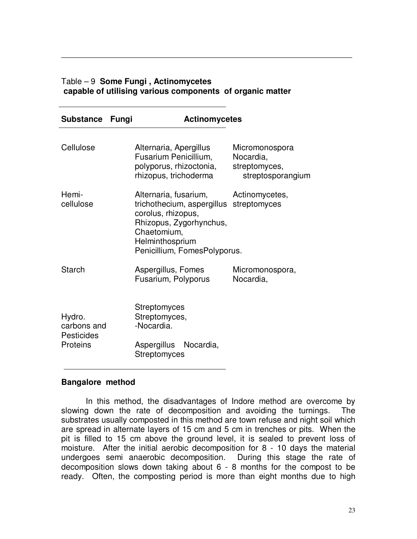#### Table – 9 **Some Fungi , Actinomycetes capable of utilising various components of organic matter**

\_\_\_\_\_\_\_\_\_\_\_\_\_\_\_\_\_\_\_\_\_\_\_\_\_\_\_\_\_\_\_\_\_\_\_\_\_\_\_\_\_\_\_\_\_\_\_\_\_\_\_\_\_\_\_\_\_\_\_\_\_\_\_\_

| Substance Fungi        | <b>Actinomycetes</b>                                                                                                                                                   |                                                                   |  |  |  |  |  |
|------------------------|------------------------------------------------------------------------------------------------------------------------------------------------------------------------|-------------------------------------------------------------------|--|--|--|--|--|
| Cellulose              | Alternaria, Apergillus<br>Fusarium Penicillium,<br>polyporus, rhizoctonia,<br>rhizopus, trichoderma                                                                    | Micromonospora<br>Nocardia,<br>streptomyces,<br>streptosporangium |  |  |  |  |  |
| Hemi-<br>cellulose     | Alternaria, fusarium,<br>trichothecium, aspergillus<br>corolus, rhizopus,<br>Rhizopus, Zygorhynchus,<br>Chaetomium,<br>Helminthosprium<br>Penicillium, FomesPolyporus. | Actinomycetes,<br>streptomyces                                    |  |  |  |  |  |
| Starch                 | Aspergillus, Fomes<br>Fusarium, Polyporus                                                                                                                              | Micromonospora,<br>Nocardia,                                      |  |  |  |  |  |
| Hydro.<br>carbons and  | <b>Streptomyces</b><br>Streptomyces,<br>-Nocardia.                                                                                                                     |                                                                   |  |  |  |  |  |
| Pesticides<br>Proteins | Aspergillus Nocardia,<br><b>Streptomyces</b>                                                                                                                           |                                                                   |  |  |  |  |  |

#### **Bangalore method**

In this method, the disadvantages of Indore method are overcome by slowing down the rate of decomposition and avoiding the turnings. The substrates usually composted in this method are town refuse and night soil which are spread in alternate layers of 15 cm and 5 cm in trenches or pits. When the pit is filled to 15 cm above the ground level, it is sealed to prevent loss of moisture. After the initial aerobic decomposition for 8 - 10 days the material undergoes semi anaerobic decomposition. During this stage the rate of decomposition slows down taking about 6 - 8 months for the compost to be ready. Often, the composting period is more than eight months due to high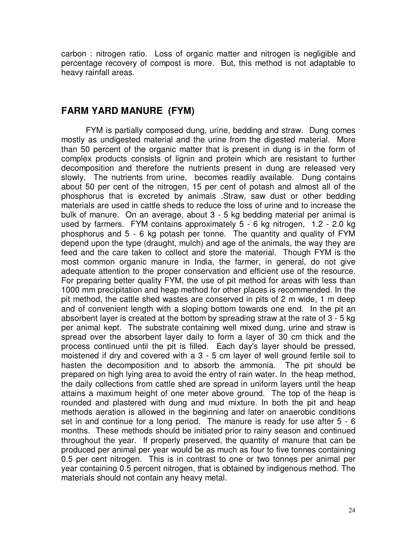carbon : nitrogen ratio. Loss of organic matter and nitrogen is negligible and percentage recovery of compost is more. But, this method is not adaptable to heavy rainfall areas.

## **FARM YARD MANURE (FYM)**

FYM is partially composed dung, urine, bedding and straw. Dung comes mostly as undigested material and the urine from the digested material. More than 50 percent of the organic matter that is present in dung is in the form of complex products consists of lignin and protein which are resistant to further decomposition and therefore the nutrients present in dung are released very slowly. The nutrients from urine, becomes readily available. Dung contains about 50 per cent of the nitrogen, 15 per cent of potash and almost all of the phosphorus that is excreted by animals .Straw, saw dust or other bedding materials are used in cattle sheds to reduce the loss of urine and to increase the bulk of manure. On an average, about 3 - 5 kg bedding material per animal is used by farmers. FYM contains approximately 5 - 6 kg nitrogen, 1.2 - 2.0 kg phosphorus and 5 - 6 kg potash per tonne. The quantity and quality of FYM depend upon the type (draught, mulch) and age of the animals, the way they are feed and the care taken to collect and store the material. Though FYM is the most common organic manure in India, the farmer, in general, do not give adequate attention to the proper conservation and efficient use of the resource. For preparing better quality FYM, the use of pit method for areas with less than 1000 mm precipitation and heap method for other places is recommended. In the pit method, the cattle shed wastes are conserved in pits of 2 m wide, 1 m deep and of convenient length with a sloping bottom towards one end. In the pit an absorbent layer is created at the bottom by spreading straw at the rate of 3 - 5 kg per animal kept. The substrate containing well mixed dung, urine and straw is spread over the absorbent layer daily to form a layer of 30 cm thick and the process continued until the pit is filled. Each day's layer should be pressed, moistened if dry and covered with a 3 - 5 cm layer of well ground fertile soil to hasten the decomposition and to absorb the ammonia. The pit should be prepared on high lying area to avoid the entry of rain water. In the heap method, the daily collections from cattle shed are spread in uniform layers until the heap attains a maximum height of one meter above ground. The top of the heap is rounded and plastered with dung and mud mixture. In both the pit and heap methods aeration is allowed in the beginning and later on anaerobic conditions set in and continue for a long period. The manure is ready for use after 5 - 6 months. These methods should be initiated prior to rainy season and continued throughout the year. If properly preserved, the quantity of manure that can be produced per animal per year would be as much as four to five tonnes containing 0.5 per cent nitrogen. This is in contrast to one or two tonnes per animal per year containing 0.5 percent nitrogen, that is obtained by indigenous method. The materials should not contain any heavy metal.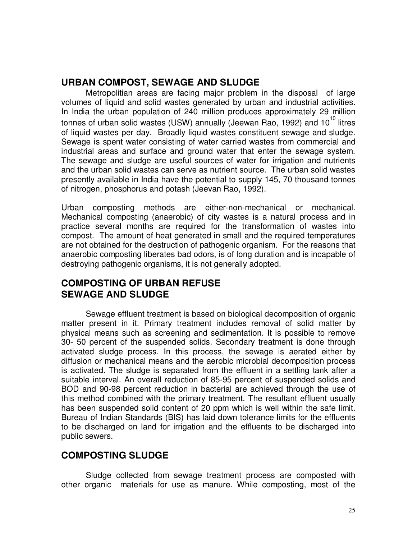## **URBAN COMPOST, SEWAGE AND SLUDGE**

Metropolitian areas are facing major problem in the disposal of large volumes of liquid and solid wastes generated by urban and industrial activities. In India the urban population of 240 million produces approximately 29 million tonnes of urban solid wastes (USW) annually (Jeewan Rao, 1992) and 10<sup>10</sup> litres of liquid wastes per day. Broadly liquid wastes constituent sewage and sludge. Sewage is spent water consisting of water carried wastes from commercial and industrial areas and surface and ground water that enter the sewage system. The sewage and sludge are useful sources of water for irrigation and nutrients and the urban solid wastes can serve as nutrient source. The urban solid wastes presently available in India have the potential to supply 145, 70 thousand tonnes of nitrogen, phosphorus and potash (Jeevan Rao, 1992).

Urban composting methods are either-non-mechanical or mechanical. Mechanical composting (anaerobic) of city wastes is a natural process and in practice several months are required for the transformation of wastes into compost. The amount of heat generated in small and the required temperatures are not obtained for the destruction of pathogenic organism. For the reasons that anaerobic composting liberates bad odors, is of long duration and is incapable of destroying pathogenic organisms, it is not generally adopted.

# **COMPOSTING OF URBAN REFUSE SEWAGE AND SLUDGE**

Sewage effluent treatment is based on biological decomposition of organic matter present in it. Primary treatment includes removal of solid matter by physical means such as screening and sedimentation. It is possible to remove 30- 50 percent of the suspended solids. Secondary treatment is done through activated sludge process. In this process, the sewage is aerated either by diffusion or mechanical means and the aerobic microbial decomposition process is activated. The sludge is separated from the effluent in a settling tank after a suitable interval. An overall reduction of 85-95 percent of suspended solids and BOD and 90-98 percent reduction in bacterial are achieved through the use of this method combined with the primary treatment. The resultant effluent usually has been suspended solid content of 20 ppm which is well within the safe limit. Bureau of Indian Standards (BIS) has laid down tolerance limits for the effluents to be discharged on land for irrigation and the effluents to be discharged into public sewers.

# **COMPOSTING SLUDGE**

Sludge collected from sewage treatment process are composted with other organic materials for use as manure. While composting, most of the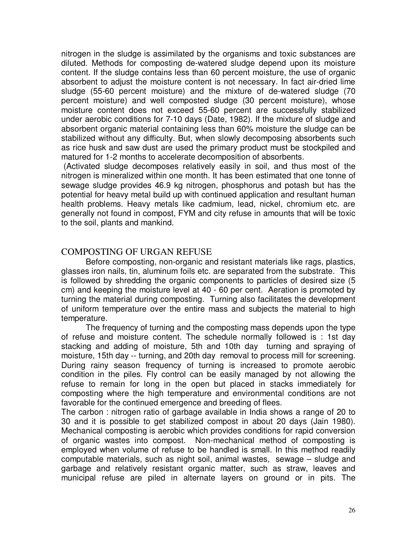nitrogen in the sludge is assimilated by the organisms and toxic substances are diluted. Methods for composting de-watered sludge depend upon its moisture content. If the sludge contains less than 60 percent moisture, the use of organic absorbent to adjust the moisture content is not necessary. In fact air-dried lime sludge (55-60 percent moisture) and the mixture of de-watered sludge (70 percent moisture) and well composted sludge (30 percent moisture), whose moisture content does not exceed 55-60 percent are successfully stabilized under aerobic conditions for 7-10 days (Date, 1982). If the mixture of sludge and absorbent organic material containing less than 60% moisture the sludge can be stabilized without any difficulty. But, when slowly decomposing absorbents such as rice husk and saw dust are used the primary product must be stockpiled and matured for 1-2 months to accelerate decomposition of absorbents.

 (Activated sludge decomposes relatively easily in soil, and thus most of the nitrogen is mineralized within one month. It has been estimated that one tonne of sewage sludge provides 46.9 kg nitrogen, phosphorus and potash but has the potential for heavy metal build up with continued application and resultant human health problems. Heavy metals like cadmium, lead, nickel, chromium etc. are generally not found in compost, FYM and city refuse in amounts that will be toxic to the soil, plants and mankind.

## COMPOSTING OF URGAN REFUSE

Before composting, non-organic and resistant materials like rags, plastics, glasses iron nails, tin, aluminum foils etc. are separated from the substrate. This is followed by shredding the organic components to particles of desired size (5 cm) and keeping the moisture level at 40 - 60 per cent. Aeration is promoted by turning the material during composting. Turning also facilitates the development of uniform temperature over the entire mass and subjects the material to high temperature.

The frequency of turning and the composting mass depends upon the type of refuse and moisture content. The schedule normally followed is : 1st day stacking and adding of moisture, 5th and 10th day turning and spraying of moisture, 15th day -- turning, and 20th day removal to process mill for screening. During rainy season frequency of turning is increased to promote aerobic condition in the piles. Fly control can be easily managed by not allowing the refuse to remain for long in the open but placed in stacks immediately for composting where the high temperature and environmental conditions are not favorable for the continued emergence and breeding of flees.

The carbon : nitrogen ratio of garbage available in India shows a range of 20 to 30 and it is possible to get stabilized compost in about 20 days (Jain 1980). Mechanical composting is aerobic which provides conditions for rapid conversion of organic wastes into compost. Non-mechanical method of composting is employed when volume of refuse to be handled is small. In this method readily computable materials, such as night soil, animal wastes, sewage – sludge and garbage and relatively resistant organic matter, such as straw, leaves and municipal refuse are piled in alternate layers on ground or in pits. The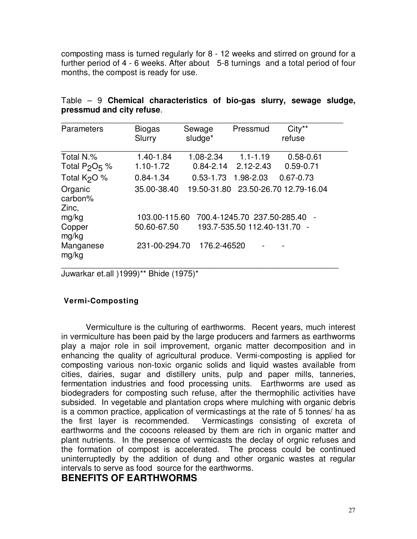composting mass is turned regularly for 8 - 12 weeks and stirred on ground for a further period of 4 - 6 weeks. After about 5-8 turnings and a total period of four months, the compost is ready for use.

| Parameters                    | <b>Biogas</b><br>Slurry | Sewage<br>sludge* | Pressmud                                | $City**$<br>refuse                  |
|-------------------------------|-------------------------|-------------------|-----------------------------------------|-------------------------------------|
| Total N.%<br>Total $P_2O_5$ % | 1.40-1.84<br>1.10-1.72  | 1.08-2.34         | $1.1 - 1.19$<br>$0.84 - 2.14$ 2.12-2.43 | $0.58 - 0.61$<br>$0.59 - 0.71$      |
| Total $K2O$ %                 | $0.84 - 1.34$           | $0.53 - 1.73$     | 1.98-2.03                               | $0.67 - 0.73$                       |
| Organic<br>carbon%<br>Zinc,   | 35.00-38.40             |                   |                                         | 19.50-31.80 23.50-26.70 12.79-16.04 |
| mg/kg                         | 103.00-115.60           |                   | 700.4-1245.70 237.50-285.40             |                                     |
| Copper<br>mg/kg               | 50.60-67.50             |                   | 193.7-535.50 112.40-131.70 -            |                                     |
| Manganese<br>mg/kg            | 231-00-294.70           | 176.2-46520       |                                         |                                     |

|  |                           | Table $-9$ Chemical characteristics of bio-gas slurry, sewage sludge, |  |  |  |
|--|---------------------------|-----------------------------------------------------------------------|--|--|--|
|  | pressmud and city refuse. |                                                                       |  |  |  |

Juwarkar et.all )1999)\*\* Bhide (1975)\*

#### **Vermi-Composting**

Vermiculture is the culturing of earthworms. Recent years, much interest in vermiculture has been paid by the large producers and farmers as earthworms play a major role in soil improvement, organic matter decomposition and in enhancing the quality of agricultural produce. Vermi-composting is applied for composting various non-toxic organic solids and liquid wastes available from cities, dairies, sugar and distillery units, pulp and paper mills, tanneries, fermentation industries and food processing units. Earthworms are used as biodegraders for composting such refuse, after the thermophilic activities have subsided. In vegetable and plantation crops where mulching with organic debris is a common practice, application of vermicastings at the rate of 5 tonnes/ ha as the first layer is recommended. Vermicastings consisting of excreta of earthworms and the cocoons released by them are rich in organic matter and plant nutrients. In the presence of vermicasts the declay of orgnic refuses and the formation of compost is accelerated. The process could be continued uninterruptedly by the addition of dung and other organic wastes at regular intervals to serve as food source for the earthworms.

## **BENEFITS OF EARTHWORMS**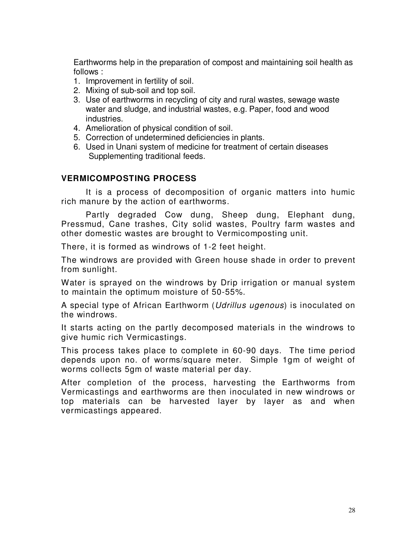Earthworms help in the preparation of compost and maintaining soil health as follows :

- 1. Improvement in fertility of soil.
- 2. Mixing of sub-soil and top soil.
- 3. Use of earthworms in recycling of city and rural wastes, sewage waste water and sludge, and industrial wastes, e.g. Paper, food and wood industries.
- 4. Amelioration of physical condition of soil.
- 5. Correction of undetermined deficiencies in plants.
- 6. Used in Unani system of medicine for treatment of certain diseases Supplementing traditional feeds.

## **VERMICOMPOSTING PROCESS**

It is a process of decomposition of organic matters into humic rich manure by the action of earthworms.

Partly degraded Cow dung, Sheep dung, Elephant dung, Pressmud, Cane trashes, City solid wastes, Poultry farm wastes and other domestic wastes are brought to Vermicomposting unit.

There, it is formed as windrows of 1-2 feet height.

The windrows are provided with Green house shade in order to prevent from sunlight.

Water is sprayed on the windrows by Drip irrigation or manual system to maintain the optimum moisture of 50-55%.

A special type of African Earthworm (Udrillus ugenous) is inoculated on the windrows.

It starts acting on the partly decomposed materials in the windrows to give humic rich Vermicastings.

This process takes place to complete in 60-90 days. The time period depends upon no. of worms/square meter. Simple 1gm of weight of worms collects 5gm of waste material per day.

After completion of the process, harvesting the Earthworms from Vermicastings and earthworms are then inoculated in new windrows or top materials can be harvested layer by layer as and when vermicastings appeared.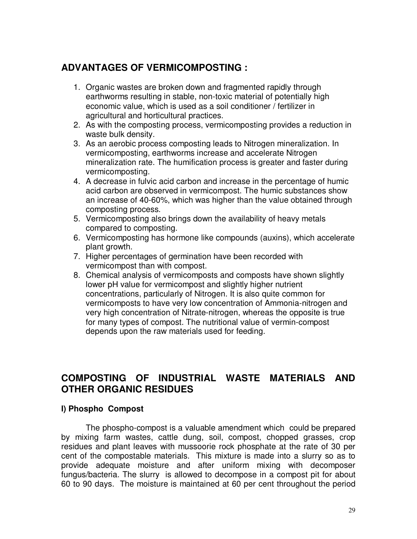# **ADVANTAGES OF VERMICOMPOSTING :**

- 1. Organic wastes are broken down and fragmented rapidly through earthworms resulting in stable, non-toxic material of potentially high economic value, which is used as a soil conditioner / fertilizer in agricultural and horticultural practices.
- 2. As with the composting process, vermicomposting provides a reduction in waste bulk density.
- 3. As an aerobic process composting leads to Nitrogen mineralization. In vermicomposting, earthworms increase and accelerate Nitrogen mineralization rate. The humification process is greater and faster during vermicomposting.
- 4. A decrease in fulvic acid carbon and increase in the percentage of humic acid carbon are observed in vermicompost. The humic substances show an increase of 40-60%, which was higher than the value obtained through composting process.
- 5. Vermicomposting also brings down the availability of heavy metals compared to composting.
- 6. Vermicomposting has hormone like compounds (auxins), which accelerate plant growth.
- 7. Higher percentages of germination have been recorded with vermicompost than with compost.
- 8. Chemical analysis of vermicomposts and composts have shown slightly lower pH value for vermicompost and slightly higher nutrient concentrations, particularly of Nitrogen. It is also quite common for vermicomposts to have very low concentration of Ammonia-nitrogen and very high concentration of Nitrate-nitrogen, whereas the opposite is true for many types of compost. The nutritional value of vermin-compost depends upon the raw materials used for feeding.

# **COMPOSTING OF INDUSTRIAL WASTE MATERIALS AND OTHER ORGANIC RESIDUES**

## **I) Phospho Compost**

The phospho-compost is a valuable amendment which could be prepared by mixing farm wastes, cattle dung, soil, compost, chopped grasses, crop residues and plant leaves with mussoorie rock phosphate at the rate of 30 per cent of the compostable materials. This mixture is made into a slurry so as to provide adequate moisture and after uniform mixing with decomposer fungus/bacteria. The slurry is allowed to decompose in a compost pit for about 60 to 90 days. The moisture is maintained at 60 per cent throughout the period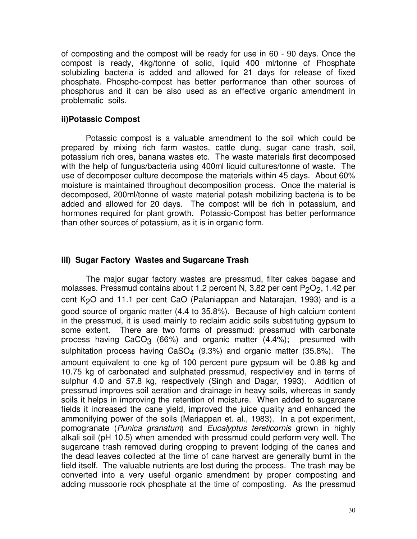of composting and the compost will be ready for use in 60 - 90 days. Once the compost is ready, 4kg/tonne of solid, liquid 400 ml/tonne of Phosphate solubizling bacteria is added and allowed for 21 days for release of fixed phosphate. Phospho-compost has better performance than other sources of phosphorus and it can be also used as an effective organic amendment in problematic soils.

#### **ii)Potassic Compost**

Potassic compost is a valuable amendment to the soil which could be prepared by mixing rich farm wastes, cattle dung, sugar cane trash, soil, potassium rich ores, banana wastes etc. The waste materials first decomposed with the help of fungus/bacteria using 400ml liquid cultures/tonne of waste. The use of decomposer culture decompose the materials within 45 days. About 60% moisture is maintained throughout decomposition process. Once the material is decomposed, 200ml/tonne of waste material potash mobilizing bacteria is to be added and allowed for 20 days. The compost will be rich in potassium, and hormones required for plant growth. Potassic-Compost has better performance than other sources of potassium, as it is in organic form.

## **iiI) Sugar Factory Wastes and Sugarcane Trash**

The major sugar factory wastes are pressmud, filter cakes bagase and molasses. Pressmud contains about 1.2 percent N, 3.82 per cent  $P_2O_2$ , 1.42 per cent  $K<sub>2</sub>O$  and 11.1 per cent CaO (Palaniappan and Natarajan, 1993) and is a good source of organic matter (4.4 to 35.8%). Because of high calcium content in the pressmud, it is used mainly to reclaim acidic soils substituting gypsum to some extent. There are two forms of pressmud: pressmud with carbonate process having  $CaCO<sub>3</sub>$  (66%) and organic matter (4.4%); presumed with sulphitation process having  $CaSO_4$  (9.3%) and organic matter (35.8%). The amount equivalent to one kg of 100 percent pure gypsum will be 0.88 kg and 10.75 kg of carbonated and sulphated pressmud, respectivley and in terms of sulphur 4.0 and 57.8 kg, respectively (Singh and Dagar, 1993). Addition of pressmud improves soil aeration and drainage in heavy soils, whereas in sandy soils it helps in improving the retention of moisture. When added to sugarcane fields it increased the cane yield, improved the juice quality and enhanced the ammonifying power of the soils (Mariappan et. al., 1983). In a pot experiment, pomogranate (Punica granatum) and Eucalyptus tereticornis grown in highly alkali soil (pH 10.5) when amended with pressmud could perform very well. The sugarcane trash removed during cropping to prevent lodging of the canes and the dead leaves collected at the time of cane harvest are generally burnt in the field itself. The valuable nutrients are lost during the process. The trash may be converted into a very useful organic amendment by proper composting and adding mussoorie rock phosphate at the time of composting. As the pressmud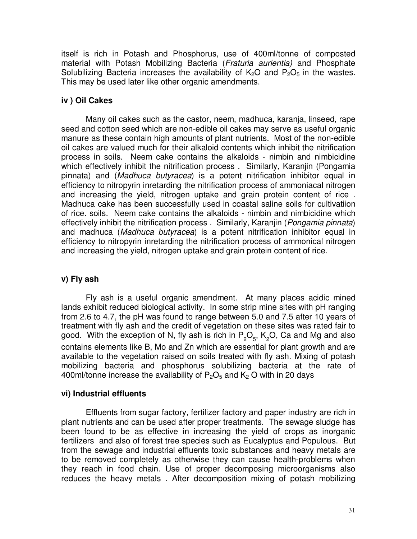itself is rich in Potash and Phosphorus, use of 400ml/tonne of composted material with Potash Mobilizing Bacteria (Fraturia aurientia) and Phosphate Solubilizing Bacteria increases the availability of  $K_2O$  and  $P_2O_5$  in the wastes. This may be used later like other organic amendments.

## **iv ) Oil Cakes**

Many oil cakes such as the castor, neem, madhuca, karanja, linseed, rape seed and cotton seed which are non-edible oil cakes may serve as useful organic manure as these contain high amounts of plant nutrients. Most of the non-edible oil cakes are valued much for their alkaloid contents which inhibit the nitrification process in soils. Neem cake contains the alkaloids - nimbin and nimbicidine which effectively inhibit the nitrification process . Similarly, Karanjin (Pongamia pinnata) and (Madhuca butyracea) is a potent nitrification inhibitor equal in efficiency to nitropyrin inretarding the nitrification process of ammoniacal nitrogen and increasing the yield, nitrogen uptake and grain protein content of rice . Madhuca cake has been successfully used in coastal saline soils for cultivatiion of rice. soils. Neem cake contains the alkaloids - nimbin and nimbicidine which effectively inhibit the nitrification process. Similarly, Karanjin (Pongamia pinnata) and madhuca (Madhuca butyracea) is a potent nitrification inhibitor equal in efficiency to nitropyrin inretarding the nitrification process of ammonical nitrogen and increasing the yield, nitrogen uptake and grain protein content of rice.

#### **v) Fly ash**

Fly ash is a useful organic amendment. At many places acidic mined lands exhibit reduced biological activity. In some strip mine sites with pH ranging from 2.6 to 4.7, the pH was found to range between 5.0 and 7.5 after 10 years of treatment with fly ash and the credit of vegetation on these sites was rated fair to good. With the exception of N, fly ash is rich in  $\mathsf{P}_2\mathsf{O}_5$ , K<sub>2</sub>O, Ca and Mg and also contains elements like B, Mo and Zn which are essential for plant growth and are available to the vegetation raised on soils treated with fly ash. Mixing of potash mobilizing bacteria and phosphorus solubilizing bacteria at the rate of 400ml/tonne increase the availability of  $P_2O_5$  and  $K_2$  O with in 20 days

#### **vi) Industrial effluents**

Effluents from sugar factory, fertilizer factory and paper industry are rich in plant nutrients and can be used after proper treatments. The sewage sludge has been found to be as effective in increasing the yield of crops as inorganic fertilizers and also of forest tree species such as Eucalyptus and Populous. But from the sewage and industrial effluents toxic substances and heavy metals are to be removed completely as otherwise they can cause health-problems when they reach in food chain. Use of proper decomposing microorganisms also reduces the heavy metals . After decomposition mixing of potash mobilizing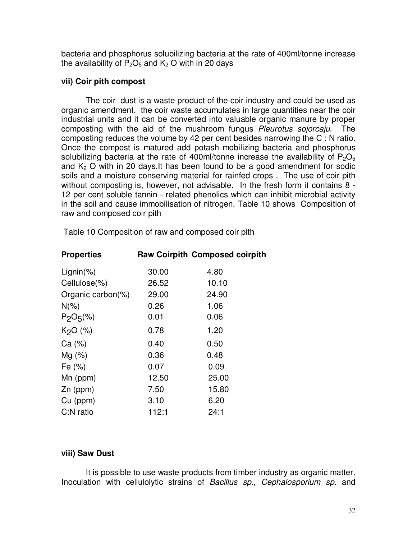bacteria and phosphorus solubilizing bacteria at the rate of 400ml/tonne increase the availability of  $P_2O_5$  and  $K_2$  O with in 20 days

#### **vii) Coir pith compost**

The coir dust is a waste product of the coir industry and could be used as organic amendment. the coir waste accumulates in large quantities near the coir industrial units and it can be converted into valuable organic manure by proper composting with the aid of the mushroom fungus Pleurotus sojorcaju. The composting reduces the volume by 42 per cent besides narrowing the C : N ratio. Once the compost is matured add potash mobilizing bacteria and phosphorus solubilizing bacteria at the rate of 400ml/tonne increase the availability of  $P_2O_5$ and  $K<sub>2</sub>$  O with in 20 days.It has been found to be a good amendment for sodic soils and a moisture conserving material for rainfed crops . The use of coir pith without composting is, however, not advisable. In the fresh form it contains 8 - 12 per cent soluble tannin - related phenolics which can inhibit microbial activity in the soil and cause immobilisation of nitrogen. Table 10 shows Composition of raw and composed coir pith

| <b>Properties</b>    |       | <b>Raw Coirpith Composed coirpith</b> |
|----------------------|-------|---------------------------------------|
| $Lignin(\%)$         | 30.00 | 4.80                                  |
| Cellulose(%)         | 26.52 | 10.10                                 |
| Organic carbon(%)    | 29.00 | 24.90                                 |
| $N(\%)$              | 0.26  | 1.06                                  |
| $P_2O_5(\%)$         | 0.01  | 0.06                                  |
| K <sub>2</sub> O (%) | 0.78  | 1.20                                  |
| Ca (%)               | 0.40  | 0.50                                  |
| $Mg(\%)$             | 0.36  | 0.48                                  |
| Fe (%)               | 0.07  | 0.09                                  |
| $Mn$ (ppm)           | 12.50 | 25.00                                 |
| $Zn$ (ppm)           | 7.50  | 15.80                                 |
| $Cu$ (ppm)           | 3.10  | 6.20                                  |
| C:N ratio            | 112:1 | 24:1                                  |

Table 10 Composition of raw and composed coir pith

## **viii) Saw Dust**

It is possible to use waste products from timber industry as organic matter. Inoculation with cellulolytic strains of Bacillus sp., Cephalosporium sp. and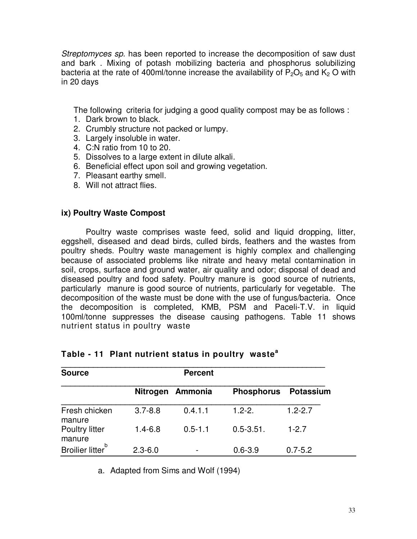Streptomyces sp. has been reported to increase the decomposition of saw dust and bark . Mixing of potash mobilizing bacteria and phosphorus solubilizing bacteria at the rate of 400ml/tonne increase the availability of  $P_2O_5$  and  $K_2$  O with in 20 days

The following criteria for judging a good quality compost may be as follows :

- 1. Dark brown to black.
- 2. Crumbly structure not packed or lumpy.
- 3. Largely insoluble in water.
- 4. C:N ratio from 10 to 20.
- 5. Dissolves to a large extent in dilute alkali.
- 6. Beneficial effect upon soil and growing vegetation.
- 7. Pleasant earthy smell.
- 8. Will not attract flies.

#### **ix) Poultry Waste Compost**

Poultry waste comprises waste feed, solid and liquid dropping, litter, eggshell, diseased and dead birds, culled birds, feathers and the wastes from poultry sheds. Poultry waste management is highly complex and challenging because of associated problems like nitrate and heavy metal contamination in soil, crops, surface and ground water, air quality and odor; disposal of dead and diseased poultry and food safety. Poultry manure is good source of nutrients, particularly manure is good source of nutrients, particularly for vegetable. The decomposition of the waste must be done with the use of fungus/bacteria. Once the decomposition is completed, KMB, PSM and Paceli-T.V. in liquid 100ml/tonne suppresses the disease causing pathogens. Table 11 shows nutrient status in poultry waste

| <b>Source</b>                |                 | <b>Percent</b> |                   |                  |
|------------------------------|-----------------|----------------|-------------------|------------------|
|                              | <b>Nitrogen</b> | Ammonia        | <b>Phosphorus</b> | <b>Potassium</b> |
| Fresh chicken<br>manure      | $3.7 - 8.8$     | 0.4.1.1        | $1.2 - 2.$        | $1.2 - 2.7$      |
| Poultry litter<br>manure     | $1.4 - 6.8$     | $0.5 - 1.1$    | $0.5 - 3.51$ .    | $1 - 2.7$        |
| Broilier litter <sup>b</sup> | $2.3 - 6.0$     |                | $0.6 - 3.9$       | $0.7 - 5.2$      |

#### **Table - 11 Plant nutrient status in poultry waste<sup>a</sup>**

a. Adapted from Sims and Wolf (1994)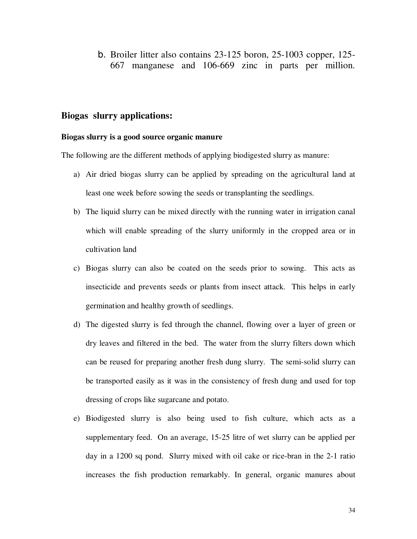b. Broiler litter also contains 23-125 boron, 25-1003 copper, 125- 667 manganese and 106-669 zinc in parts per million.

#### **Biogas slurry applications:**

#### **Biogas slurry is a good source organic manure**

The following are the different methods of applying biodigested slurry as manure:

- a) Air dried biogas slurry can be applied by spreading on the agricultural land at least one week before sowing the seeds or transplanting the seedlings.
- b) The liquid slurry can be mixed directly with the running water in irrigation canal which will enable spreading of the slurry uniformly in the cropped area or in cultivation land
- c) Biogas slurry can also be coated on the seeds prior to sowing. This acts as insecticide and prevents seeds or plants from insect attack. This helps in early germination and healthy growth of seedlings.
- d) The digested slurry is fed through the channel, flowing over a layer of green or dry leaves and filtered in the bed. The water from the slurry filters down which can be reused for preparing another fresh dung slurry. The semi-solid slurry can be transported easily as it was in the consistency of fresh dung and used for top dressing of crops like sugarcane and potato.
- e) Biodigested slurry is also being used to fish culture, which acts as a supplementary feed. On an average, 15-25 litre of wet slurry can be applied per day in a 1200 sq pond. Slurry mixed with oil cake or rice-bran in the 2-1 ratio increases the fish production remarkably. In general, organic manures about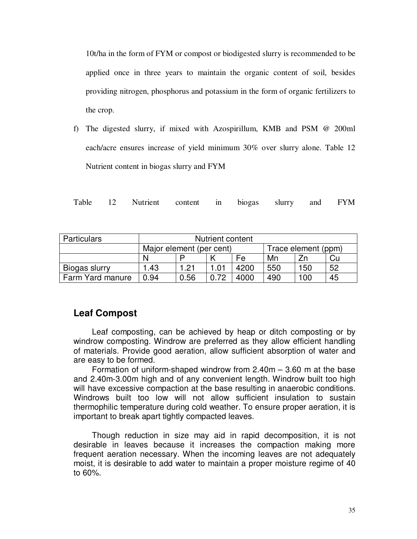10t/ha in the form of FYM or compost or biodigested slurry is recommended to be applied once in three years to maintain the organic content of soil, besides providing nitrogen, phosphorus and potassium in the form of organic fertilizers to the crop.

f) The digested slurry, if mixed with Azospirillum, KMB and PSM @ 200ml each/acre ensures increase of yield minimum 30% over slurry alone. Table 12 Nutrient content in biogas slurry and FYM

|  |  | Table 12 Nutrient content in biogas slurry and FYM |  |  |  |  |  |  |
|--|--|----------------------------------------------------|--|--|--|--|--|--|
|--|--|----------------------------------------------------|--|--|--|--|--|--|

| Particulars      |                          | Nutrient content |      |      |                     |     |    |  |
|------------------|--------------------------|------------------|------|------|---------------------|-----|----|--|
|                  | Major element (per cent) |                  |      |      | Trace element (ppm) |     |    |  |
|                  |                          |                  |      | Fe   | Mn                  |     | Cu |  |
| Biogas slurry    | 1.43                     | 1.21             | .01  | 4200 | 550                 | 150 | 52 |  |
| Farm Yard manure | 0.94                     | 0.56             | 0.72 | 4000 | 490                 | 100 | 45 |  |

## **Leaf Compost**

Leaf composting, can be achieved by heap or ditch composting or by windrow composting. Windrow are preferred as they allow efficient handling of materials. Provide good aeration, allow sufficient absorption of water and are easy to be formed.

 Formation of uniform-shaped windrow from 2.40m – 3.60 m at the base and 2.40m-3.00m high and of any convenient length. Windrow built too high will have excessive compaction at the base resulting in anaerobic conditions. Windrows built too low will not allow sufficient insulation to sustain thermophilic temperature during cold weather. To ensure proper aeration, it is important to break apart tightly compacted leaves.

 Though reduction in size may aid in rapid decomposition, it is not desirable in leaves because it increases the compaction making more frequent aeration necessary. When the incoming leaves are not adequately moist, it is desirable to add water to maintain a proper moisture regime of 40 to 60%.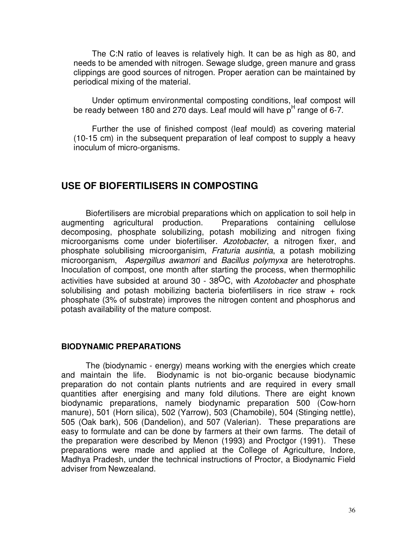The C:N ratio of leaves is relatively high. It can be as high as 80, and needs to be amended with nitrogen. Sewage sludge, green manure and grass clippings are good sources of nitrogen. Proper aeration can be maintained by periodical mixing of the material.

 Under optimum environmental composting conditions, leaf compost will be ready between 180 and 270 days. Leaf mould will have p<sup>H</sup> range of 6-7.

 Further the use of finished compost (leaf mould) as covering material (10-15 cm) in the subsequent preparation of leaf compost to supply a heavy inoculum of micro-organisms.

## **USE OF BIOFERTILISERS IN COMPOSTING**

Biofertilisers are microbial preparations which on application to soil help in augmenting agricultural production. Preparations containing cellulose decomposing, phosphate solubilizing, potash mobilizing and nitrogen fixing microorganisms come under biofertiliser. Azotobacter, a nitrogen fixer, and phosphate solubilising microorganisim, Fraturia ausintia, a potash mobilizing microorganism, Aspergillus awamori and Bacillus polymyxa are heterotrophs. Inoculation of compost, one month after starting the process, when thermophilic activities have subsided at around 30 -  $38^{\circ}$ C, with Azotobacter and phosphate solubilising and potash mobilizing bacteria biofertilisers in rice straw + rock phosphate (3% of substrate) improves the nitrogen content and phosphorus and potash availability of the mature compost.

#### **BIODYNAMIC PREPARATIONS**

The (biodynamic - energy) means working with the energies which create and maintain the life. Biodynamic is not bio-organic because biodynamic preparation do not contain plants nutrients and are required in every small quantities after energising and many fold dilutions. There are eight known biodynamic preparations, namely biodynamic preparation 500 (Cow-horn manure), 501 (Horn silica), 502 (Yarrow), 503 (Chamobile), 504 (Stinging nettle), 505 (Oak bark), 506 (Dandelion), and 507 (Valerian). These preparations are easy to formulate and can be done by farmers at their own farms. The detail of the preparation were described by Menon (1993) and Proctgor (1991). These preparations were made and applied at the College of Agriculture, Indore, Madhya Pradesh, under the technical instructions of Proctor, a Biodynamic Field adviser from Newzealand.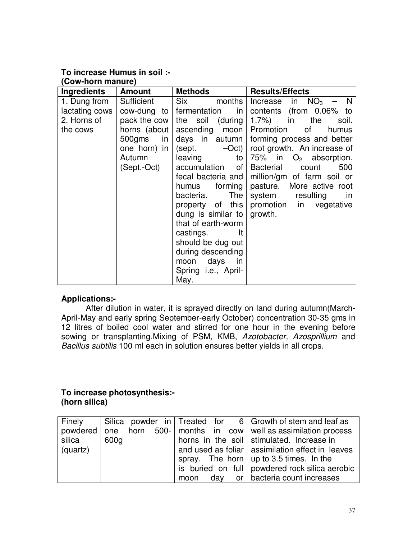#### **To increase Humus in soil :- (Cow-horn manure)**

|                    | <b>UUW-HUHHHAHUIGI</b> |                                |                                          |  |  |  |  |  |
|--------------------|------------------------|--------------------------------|------------------------------------------|--|--|--|--|--|
| <b>Ingredients</b> | <b>Amount</b>          | <b>Methods</b>                 | <b>Results/Effects</b>                   |  |  |  |  |  |
| 1. Dung from       | Sufficient             | <b>Six</b><br>months           | in $NO3$ –<br>$\blacksquare$<br>Increase |  |  |  |  |  |
| lactating cows     |                        | $row$ -dung to fermentation in | contents (from 0.06% to                  |  |  |  |  |  |
| 2. Horns of        | pack the cow           | the soil (during               | 1.7%) in<br>the<br>soil.                 |  |  |  |  |  |
| the cows           | horns (about           | ascending moon                 | Promotion<br>of l<br>humus               |  |  |  |  |  |
|                    | 500gms<br>in I         | days in autumn                 | forming process and better               |  |  |  |  |  |
|                    | one horn) in $ $       | $-Oct$ )<br>(sept.             | root growth. An increase of              |  |  |  |  |  |
|                    | Autumn                 | leaving<br>to                  | 75% in $O_2$ absorption.                 |  |  |  |  |  |
|                    | (Sept.-Oct)            | accumulation of                | Bacterial<br>500<br>count                |  |  |  |  |  |
|                    |                        | fecal bacteria and             | million/gm of farm soil or               |  |  |  |  |  |
|                    |                        | forming<br>humus               | pasture. More active root                |  |  |  |  |  |
|                    |                        | The<br>bacteria.               | system resulting<br>-in                  |  |  |  |  |  |
|                    |                        | property of this               | promotion in vegetative                  |  |  |  |  |  |
|                    |                        | dung is similar to             | growth.                                  |  |  |  |  |  |
|                    |                        | that of earth-worm             |                                          |  |  |  |  |  |
|                    |                        | castings.<br>-lt               |                                          |  |  |  |  |  |
|                    |                        | should be dug out              |                                          |  |  |  |  |  |
|                    |                        | during descending              |                                          |  |  |  |  |  |
|                    |                        | moon days in                   |                                          |  |  |  |  |  |
|                    |                        | Spring <i>i.e.</i> , April-    |                                          |  |  |  |  |  |
|                    |                        | May.                           |                                          |  |  |  |  |  |

## **Applications:-**

 After dilution in water, it is sprayed directly on land during autumn(March-April-May and early spring September-early October) concentration 30-35 gms in 12 litres of boiled cool water and stirred for one hour in the evening before sowing or transplanting.Mixing of PSM, KMB, Azotobacter, Azosprillium and Bacillus subtilis 100 ml each in solution ensures better yields in all crops.

#### **To increase photosynthesis:- (horn silica)**

| Finely   |      |  |      |  | $\vert$ Silica powder in $\vert$ Treated for 6 $\vert$ Growth of stem and leaf as |
|----------|------|--|------|--|-----------------------------------------------------------------------------------|
|          |      |  |      |  | powdered one horn 500- months in cow well as assimilation process                 |
| silica   | 600g |  |      |  | horns in the soil stimulated. Increase in                                         |
| (quartz) |      |  |      |  | and used as foliar   assimilation effect in leaves                                |
|          |      |  |      |  | spray. The horn $\vert$ up to 3.5 times. In the                                   |
|          |      |  |      |  | is buried on full powdered rock silica aerobic                                    |
|          |      |  | moon |  | $day$ or $ $ bacteria count increases                                             |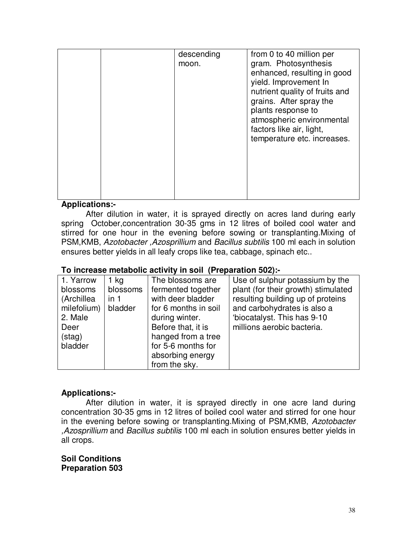|  | descending<br>moon. | from 0 to 40 million per<br>gram. Photosynthesis<br>enhanced, resulting in good<br>yield. Improvement In<br>nutrient quality of fruits and<br>grains. After spray the<br>plants response to<br>atmospheric environmental<br>factors like air, light,<br>temperature etc. increases. |
|--|---------------------|-------------------------------------------------------------------------------------------------------------------------------------------------------------------------------------------------------------------------------------------------------------------------------------|
|  |                     |                                                                                                                                                                                                                                                                                     |

#### **Applications:-**

 After dilution in water, it is sprayed directly on acres land during early spring October,concentration 30-35 gms in 12 litres of boiled cool water and stirred for one hour in the evening before sowing or transplanting.Mixing of PSM,KMB, Azotobacter ,Azosprillium and Bacillus subtilis 100 ml each in solution ensures better yields in all leafy crops like tea, cabbage, spinach etc..

#### **To increase metabolic activity in soil (Preparation 502):-**

| 1. Yarrow              | $1$ kg           | The blossoms are                         | Use of sulphur potassium by the                                          |
|------------------------|------------------|------------------------------------------|--------------------------------------------------------------------------|
| blossoms<br>(Archillea | blossoms<br>in 1 | fermented together<br>with deer bladder  | plant (for their growth) stimulated<br>resulting building up of proteins |
| milefolium)<br>2. Male | bladder          | for 6 months in soil<br>during winter.   | and carbohydrates is also a<br>'biocatalyst. This has 9-10               |
| Deer<br>(stat)         |                  | Before that, it is<br>hanged from a tree | millions aerobic bacteria.                                               |
| bladder                |                  | for 5-6 months for<br>absorbing energy   |                                                                          |
|                        |                  | from the sky.                            |                                                                          |

#### **Applications:-**

 After dilution in water, it is sprayed directly in one acre land during concentration 30-35 gms in 12 litres of boiled cool water and stirred for one hour in the evening before sowing or transplanting.Mixing of PSM,KMB, Azotobacter ,Azosprillium and Bacillus subtilis 100 ml each in solution ensures better yields in all crops.

**Soil Conditions Preparation 503**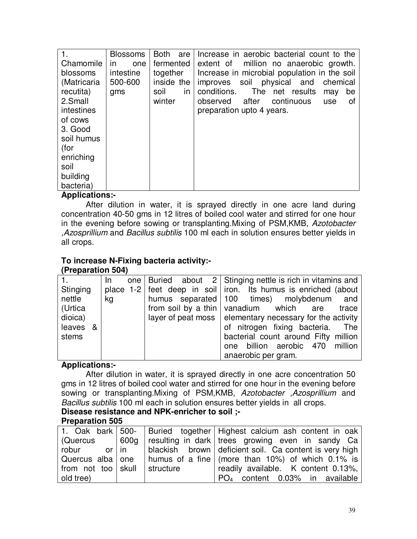| 1.          | <b>Blossoms</b> | <b>Both</b><br>are | Increase in aerobic bacterial count to the   |
|-------------|-----------------|--------------------|----------------------------------------------|
| Chamomile   | one<br>in       | fermented          | extent of million no anaerobic growth.       |
| blossoms    | intestine       | together           | Increase in microbial population in the soil |
| (Matricaria | 500-600         | inside the         | improves soil physical and<br>chemical       |
| recutita)   | gms             | soil<br><i>in</i>  | The net results<br>conditions.<br>be<br>may  |
| 2.Small     |                 | winter             | continuous<br>after<br>observed<br>use<br>οt |
| intestines  |                 |                    | preparation upto 4 years.                    |
| of cows     |                 |                    |                                              |
| 3. Good     |                 |                    |                                              |
| soil humus  |                 |                    |                                              |
| (for        |                 |                    |                                              |
| enriching   |                 |                    |                                              |
| soil        |                 |                    |                                              |
| building    |                 |                    |                                              |
| bacteria)   |                 |                    |                                              |

#### **Applications:-**

 After dilution in water, it is sprayed directly in one acre land during concentration 40-50 gms in 12 litres of boiled cool water and stirred for one hour in the evening before sowing or transplanting. Mixing of PSM, KMB, Azotobacter ,Azosprillium and Bacillus subtilis 100 ml each in solution ensures better yields in all crops.

## **To increase N-Fixing bacteria activity:-**

#### **(Preparation 504)**

|          | In |  | one   Buried about $2$   Stinging nettle is rich in vitamins and   |
|----------|----|--|--------------------------------------------------------------------|
| Stinging |    |  | place 1-2 feet deep in soil iron. Its humus is enriched (about     |
| nettle   | kg |  | humus separated 100 times) molybdenum and                          |
| (Urtica  |    |  | from soil by a thin   vanadium which are<br>trace                  |
| dioica)  |    |  | $layer of$ peat moss $\vert$ elementary necessary for the activity |
| leaves & |    |  | of nitrogen fixing bacteria. The                                   |
| stems    |    |  | bacterial count around Fifty million                               |
|          |    |  | one billion aerobic 470 million                                    |
|          |    |  | anaerobic per gram.                                                |

#### **Applications:-**

 After dilution in water, it is sprayed directly in one acre concentration 50 gms in 12 litres of boiled cool water and stirred for one hour in the evening before sowing or transplanting.Mixing of PSM,KMB, Azotobacter ,Azosprillium and Bacillus subtilis 100 ml each in solution ensures better yields in all crops.

# **Disease resistance and NPK-enricher to soil ;-**

#### **Preparation 505**

|                    |           | 1. Oak bark   500-   Buried together   Highest calcium ash content in oak         |
|--------------------|-----------|-----------------------------------------------------------------------------------|
|                    |           | (Quercus   600g   resulting in dark   trees growing even in sandy Ca              |
| or I in<br>robur   |           | blackish brown   deficient soil. Ca content is very high                          |
|                    |           | Quercus alba one   humus of a fine $\frac{1}{2}$ (more than 10%) of which 0.1% is |
| from not too skull | structure | readily available. K content 0.13%,                                               |
| old tree)          |           | $PO4$ content 0.03% in available                                                  |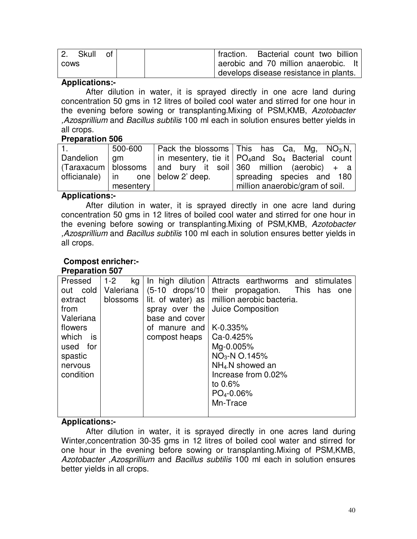| Skull       | ∩t i | I fraction. Bacterial count two billion |
|-------------|------|-----------------------------------------|
| <b>COWS</b> |      | aerobic and 70 million anaerobic. It    |
|             |      | develops disease resistance in plants.  |

#### **Applications:-**

 After dilution in water, it is sprayed directly in one acre land during concentration 50 gms in 12 litres of boiled cool water and stirred for one hour in the evening before sowing or transplanting.Mixing of PSM,KMB, Azotobacter ,Azosprillium and Bacillus subtilis 100 ml each in solution ensures better yields in all crops.

#### **Preparation 506**

|           | 500-600   |                                    | Pack the blossoms This has Ca, Mg, $NO3N$ ,                                                     |
|-----------|-----------|------------------------------------|-------------------------------------------------------------------------------------------------|
| Dandelion | am am a   |                                    | $\vert$ in mesentery, tie it $\vert$ PO <sub>4</sub> and So <sub>4</sub> Bacterial count        |
|           |           |                                    | $(Taraxacum \mid \text{blossoms} \mid \text{and} \text{bury}$ it soil 360 million (aerobic) + a |
|           |           | officianale) in one below 2' deep. | spreading species and 180                                                                       |
|           | mesentery |                                    | million anaerobic/gram of soil.                                                                 |

#### **Applications:-**

 After dilution in water, it is sprayed directly in one acre land during concentration 50 gms in 12 litres of boiled cool water and stirred for one hour in the evening before sowing or transplanting.Mixing of PSM,KMB, Azotobacter ,Azosprillium and Bacillus subtilis 100 ml each in solution ensures better yields in all crops.

#### **Compost enricher:- Preparation 507**

| Pressed     | $1 - 2$<br>kg | In high dilution      | Attracts earthworms and stimulates    |
|-------------|---------------|-----------------------|---------------------------------------|
| cold<br>out | Valeriana     | (5-10 drops/10        | propagation. This has<br>their<br>one |
| extract     | blossoms      | lit. of water) as $ $ | million aerobic bacteria.             |
| from        |               | spray over the        | Juice Composition                     |
| Valeriana   |               | base and cover        |                                       |
| flowers     |               | of manure and         | $K-0.335%$                            |
| which is    |               | compost heaps         | Ca-0.425%                             |
| used<br>for |               |                       | Mg-0.005%                             |
| spastic     |               |                       | $NO3$ -N O.145%                       |
| nervous     |               |                       | NH <sub>4-</sub> N showed an          |
| condition   |               |                       | Increase from 0.02%                   |
|             |               |                       | to $0.6\%$                            |
|             |               |                       | $PO4-0.06%$                           |
|             |               |                       | Mn-Trace                              |
|             |               |                       |                                       |

## **Applications:-**

 After dilution in water, it is sprayed directly in one acres land during Winter,concentration 30-35 gms in 12 litres of boiled cool water and stirred for one hour in the evening before sowing or transplanting.Mixing of PSM,KMB, Azotobacter ,Azosprillium and Bacillus subtilis 100 ml each in solution ensures better yields in all crops.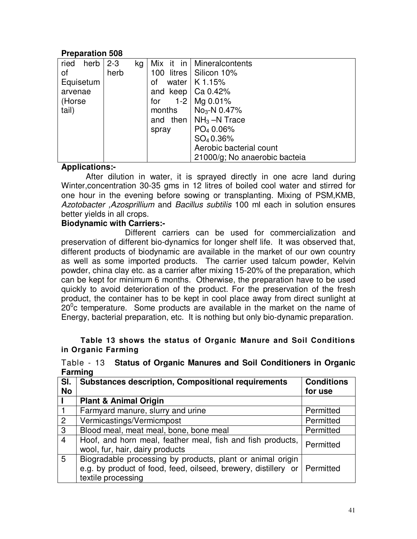## **Preparation 508**

| herb<br>ried | $2 - 3$<br>kg |                           | Mix it in   Mineralcontents          |
|--------------|---------------|---------------------------|--------------------------------------|
| οf           | herb          | 100                       | litres   Silicon 10%                 |
| Equisetum    |               | οf                        | water $ K 1.15%$                     |
| arvenae      |               | and keep $\vert$ Ca 0.42% |                                      |
| (Horse       |               | for                       | 1-2   Mg $0.01\%$                    |
| tail)        |               | months                    | $No3-N 0.47%$                        |
|              |               | and                       | then $\mid$ NH <sub>3</sub> –N Trace |
|              |               | spray                     | PO <sub>4</sub> 0.06%                |
|              |               |                           | SO <sub>4</sub> 0.36%                |
|              |               |                           | Aerobic bacterial count              |
|              |               |                           | 21000/g; No anaerobic bacteia        |

#### **Applications:-**

 After dilution in water, it is sprayed directly in one acre land during Winter,concentration 30-35 gms in 12 litres of boiled cool water and stirred for one hour in the evening before sowing or transplanting. Mixing of PSM,KMB, Azotobacter ,Azosprillium and Bacillus subtilis 100 ml each in solution ensures better yields in all crops.

#### **Biodynamic with Carriers:-**

 Different carriers can be used for commercialization and preservation of different bio-dynamics for longer shelf life. It was observed that, different products of biodynamic are available in the market of our own country as well as some imported products. The carrier used talcum powder, Kelvin powder, china clay etc. as a carrier after mixing 15-20% of the preparation, which can be kept for minimum 6 months. Otherwise, the preparation have to be used quickly to avoid deterioration of the product. For the preservation of the fresh product, the container has to be kept in cool place away from direct sunlight at  $20^{\circ}$ c temperature. Some products are available in the market on the name of Energy, bacterial preparation, etc. It is nothing but only bio-dynamic preparation.

#### **Table 13 shows the status of Organic Manure and Soil Conditions in Organic Farming**

|                | . aq                                                                       |                   |
|----------------|----------------------------------------------------------------------------|-------------------|
| SI.            | <b>Substances description, Compositional requirements</b>                  | <b>Conditions</b> |
| <b>No</b>      |                                                                            | for use           |
|                | <b>Plant &amp; Animal Origin</b>                                           |                   |
|                | Farmyard manure, slurry and urine                                          | Permitted         |
| $\overline{2}$ | Vermicastings/Vermicmpost                                                  | Permitted         |
| 3              | Blood meal, meat meal, bone, bone meal                                     | Permitted         |
| $\overline{4}$ | Hoof, and horn meal, feather meal, fish and fish products,                 | Permitted         |
|                | wool, fur, hair, dairy products                                            |                   |
| 5              | Biogradable processing by products, plant or animal origin                 |                   |
|                | e.g. by product of food, feed, oilseed, brewery, distillery or   Permitted |                   |
|                | textile processing                                                         |                   |

Table - 13 **Status of Organic Manures and Soil Conditioners in Organic Farming**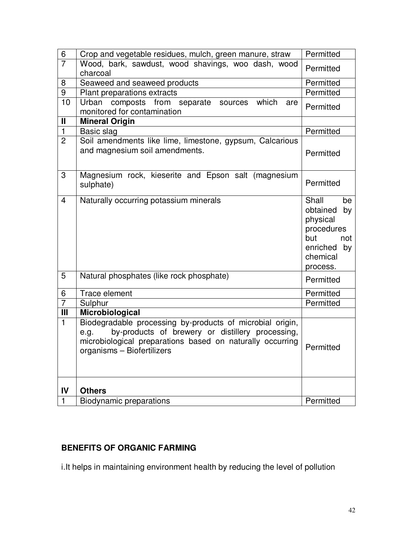| $\,6\,$        | Crop and vegetable residues, mulch, green manure, straw                                                                                                                                                          | Permitted                                                                                                    |
|----------------|------------------------------------------------------------------------------------------------------------------------------------------------------------------------------------------------------------------|--------------------------------------------------------------------------------------------------------------|
| $\overline{7}$ | Wood, bark, sawdust, wood shavings, woo dash, wood<br>charcoal                                                                                                                                                   | Permitted                                                                                                    |
| 8              | Seaweed and seaweed products                                                                                                                                                                                     | Permitted                                                                                                    |
| 9              | Plant preparations extracts                                                                                                                                                                                      | Permitted                                                                                                    |
| 10             | Urban<br>composts<br>from separate<br>which<br>sources<br>are<br>monitored for contamination                                                                                                                     | Permitted                                                                                                    |
| $\mathbf{I}$   | <b>Mineral Origin</b>                                                                                                                                                                                            |                                                                                                              |
| $\mathbf{1}$   | Basic slag                                                                                                                                                                                                       | Permitted                                                                                                    |
| $\overline{2}$ | Soil amendments like lime, limestone, gypsum, Calcarious<br>and magnesium soil amendments.                                                                                                                       | Permitted                                                                                                    |
| 3              | Magnesium rock, kieserite and Epson salt (magnesium<br>sulphate)                                                                                                                                                 | Permitted                                                                                                    |
| $\overline{4}$ | Naturally occurring potassium minerals                                                                                                                                                                           | Shall<br>be<br>obtained<br>by<br>physical<br>procedures<br>but<br>not<br>enriched by<br>chemical<br>process. |
| 5              | Natural phosphates (like rock phosphate)                                                                                                                                                                         | Permitted                                                                                                    |
| 6              | Trace element                                                                                                                                                                                                    | Permitted                                                                                                    |
| $\overline{7}$ | Sulphur                                                                                                                                                                                                          | Permitted                                                                                                    |
| $\mathbf{III}$ | Microbiological                                                                                                                                                                                                  |                                                                                                              |
| $\mathbf{1}$   | Biodegradable processing by-products of microbial origin,<br>by-products of brewery or distillery processing,<br>e.g.<br>microbiological preparations based on naturally occurring<br>organisms - Biofertilizers | Permitted                                                                                                    |
| IV             | <b>Others</b>                                                                                                                                                                                                    |                                                                                                              |
| 1              | <b>Biodynamic preparations</b>                                                                                                                                                                                   | Permitted                                                                                                    |

# **BENEFITS OF ORGANIC FARMING**

i.It helps in maintaining environment health by reducing the level of pollution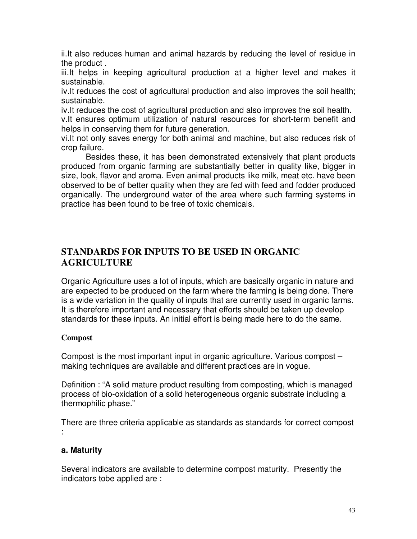ii.It also reduces human and animal hazards by reducing the level of residue in the product .

iii.It helps in keeping agricultural production at a higher level and makes it sustainable.

iv.It reduces the cost of agricultural production and also improves the soil health; sustainable.

iv.It reduces the cost of agricultural production and also improves the soil health.

v.It ensures optimum utilization of natural resources for short-term benefit and helps in conserving them for future generation.

vi.It not only saves energy for both animal and machine, but also reduces risk of crop failure.

 Besides these, it has been demonstrated extensively that plant products produced from organic farming are substantially better in quality like, bigger in size, look, flavor and aroma. Even animal products like milk, meat etc. have been observed to be of better quality when they are fed with feed and fodder produced organically. The underground water of the area where such farming systems in practice has been found to be free of toxic chemicals.

## **STANDARDS FOR INPUTS TO BE USED IN ORGANIC AGRICULTURE**

Organic Agriculture uses a lot of inputs, which are basically organic in nature and are expected to be produced on the farm where the farming is being done. There is a wide variation in the quality of inputs that are currently used in organic farms. It is therefore important and necessary that efforts should be taken up develop standards for these inputs. An initial effort is being made here to do the same.

## **Compost**

Compost is the most important input in organic agriculture. Various compost – making techniques are available and different practices are in vogue.

Definition : "A solid mature product resulting from composting, which is managed process of bio-oxidation of a solid heterogeneous organic substrate including a thermophilic phase."

There are three criteria applicable as standards as standards for correct compost :

## **a. Maturity**

Several indicators are available to determine compost maturity. Presently the indicators tobe applied are :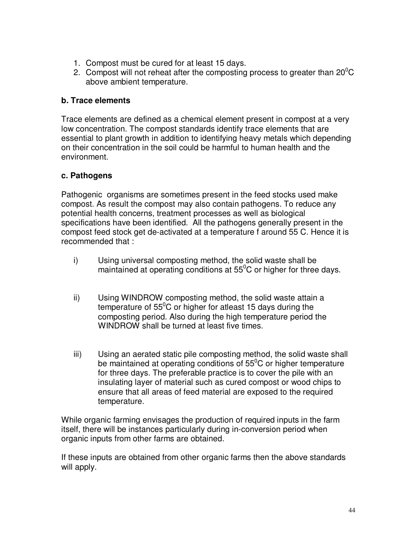- 1. Compost must be cured for at least 15 days.
- 2. Compost will not reheat after the composting process to greater than  $20^{\circ}$ C above ambient temperature.

#### **b. Trace elements**

Trace elements are defined as a chemical element present in compost at a very low concentration. The compost standards identify trace elements that are essential to plant growth in addition to identifying heavy metals which depending on their concentration in the soil could be harmful to human health and the environment.

#### **c. Pathogens**

Pathogenic organisms are sometimes present in the feed stocks used make compost. As result the compost may also contain pathogens. To reduce any potential health concerns, treatment processes as well as biological specifications have been identified. All the pathogens generally present in the compost feed stock get de-activated at a temperature f around 55 C. Hence it is recommended that :

- i) Using universal composting method, the solid waste shall be maintained at operating conditions at  $55^{\circ}$ C or higher for three days.
- ii) Using WINDROW composting method, the solid waste attain a temperature of  $55^{\circ}$ C or higher for atleast 15 days during the composting period. Also during the high temperature period the WINDROW shall be turned at least five times.
- iii) Using an aerated static pile composting method, the solid waste shall be maintained at operating conditions of  $55^{\circ}$ C or higher temperature for three days. The preferable practice is to cover the pile with an insulating layer of material such as cured compost or wood chips to ensure that all areas of feed material are exposed to the required temperature.

While organic farming envisages the production of required inputs in the farm itself, there will be instances particularly during in-conversion period when organic inputs from other farms are obtained.

If these inputs are obtained from other organic farms then the above standards will apply.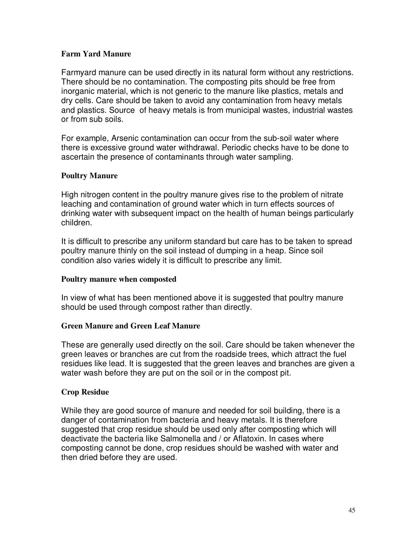#### **Farm Yard Manure**

Farmyard manure can be used directly in its natural form without any restrictions. There should be no contamination. The composting pits should be free from inorganic material, which is not generic to the manure like plastics, metals and dry cells. Care should be taken to avoid any contamination from heavy metals and plastics. Source of heavy metals is from municipal wastes, industrial wastes or from sub soils.

For example, Arsenic contamination can occur from the sub-soil water where there is excessive ground water withdrawal. Periodic checks have to be done to ascertain the presence of contaminants through water sampling.

#### **Poultry Manure**

High nitrogen content in the poultry manure gives rise to the problem of nitrate leaching and contamination of ground water which in turn effects sources of drinking water with subsequent impact on the health of human beings particularly children.

It is difficult to prescribe any uniform standard but care has to be taken to spread poultry manure thinly on the soil instead of dumping in a heap. Since soil condition also varies widely it is difficult to prescribe any limit.

#### **Poultry manure when composted**

In view of what has been mentioned above it is suggested that poultry manure should be used through compost rather than directly.

#### **Green Manure and Green Leaf Manure**

These are generally used directly on the soil. Care should be taken whenever the green leaves or branches are cut from the roadside trees, which attract the fuel residues like lead. It is suggested that the green leaves and branches are given a water wash before they are put on the soil or in the compost pit.

#### **Crop Residue**

While they are good source of manure and needed for soil building, there is a danger of contamination from bacteria and heavy metals. It is therefore suggested that crop residue should be used only after composting which will deactivate the bacteria like Salmonella and / or Aflatoxin. In cases where composting cannot be done, crop residues should be washed with water and then dried before they are used.